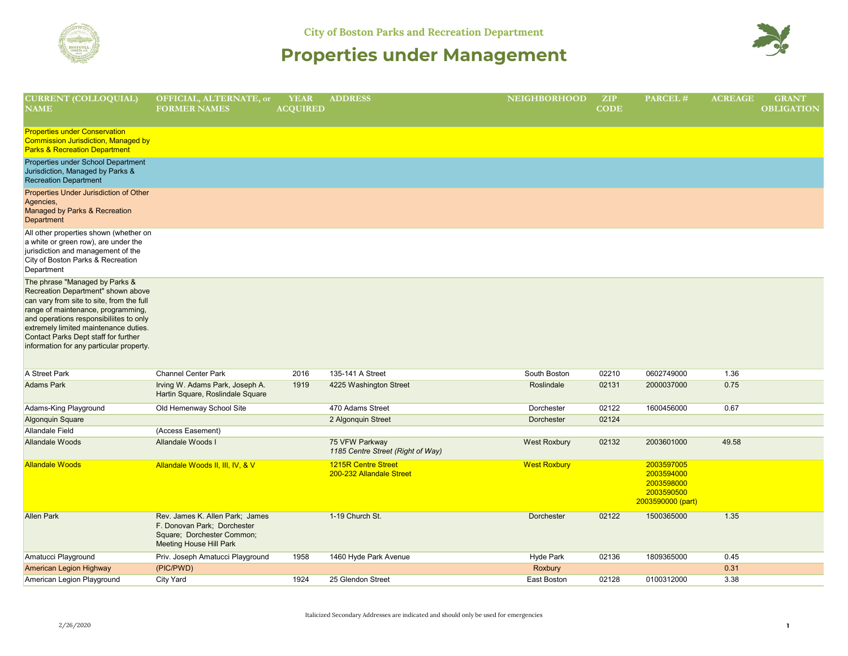



| <b>CURRENT (COLLOQUIAL)</b><br>$\overline{\mathbf{N}}\overline{\mathbf{A}}\overline{\mathbf{M}}\overline{\mathbf{E}}$                                                                                                                                                                                                           | OFFICIAL, ALTERNATE, or<br><b>FORMER NAMES</b>                                                                                 | <b>YEAR</b><br><b>ACQUIRED</b> | <b>ADDRESS</b>                                         | <b>NEIGHBORHOOD</b> | ZIP<br><b>CODE</b> | $\overline{\text{PARCEL}}$ #                                              | <b>ACREAGE</b> | <b>GRANT</b><br><b>OBLIGATION</b> |
|---------------------------------------------------------------------------------------------------------------------------------------------------------------------------------------------------------------------------------------------------------------------------------------------------------------------------------|--------------------------------------------------------------------------------------------------------------------------------|--------------------------------|--------------------------------------------------------|---------------------|--------------------|---------------------------------------------------------------------------|----------------|-----------------------------------|
| <b>Properties under Conservation</b><br>Commission Jurisdiction, Managed by<br><b>Parks &amp; Recreation Department</b>                                                                                                                                                                                                         |                                                                                                                                |                                |                                                        |                     |                    |                                                                           |                |                                   |
| Properties under School Department<br>Jurisdiction, Managed by Parks &<br><b>Recreation Department</b>                                                                                                                                                                                                                          |                                                                                                                                |                                |                                                        |                     |                    |                                                                           |                |                                   |
| Properties Under Jurisdiction of Other<br>Agencies,<br>Managed by Parks & Recreation<br>Department                                                                                                                                                                                                                              |                                                                                                                                |                                |                                                        |                     |                    |                                                                           |                |                                   |
| All other properties shown (whether on<br>a white or green row), are under the<br>jurisdiction and management of the<br>City of Boston Parks & Recreation<br>Department                                                                                                                                                         |                                                                                                                                |                                |                                                        |                     |                    |                                                                           |                |                                   |
| The phrase "Managed by Parks &<br>Recreation Department" shown above<br>can vary from site to site, from the full<br>range of maintenance, programming,<br>and operations responsibiliites to only<br>extremely limited maintenance duties.<br>Contact Parks Dept staff for further<br>information for any particular property. |                                                                                                                                |                                |                                                        |                     |                    |                                                                           |                |                                   |
| A Street Park                                                                                                                                                                                                                                                                                                                   | <b>Channel Center Park</b>                                                                                                     | 2016                           | 135-141 A Street                                       | South Boston        | 02210              | 0602749000                                                                | 1.36           |                                   |
| <b>Adams Park</b>                                                                                                                                                                                                                                                                                                               | Irving W. Adams Park, Joseph A.<br>Hartin Square, Roslindale Square                                                            | 1919                           | 4225 Washington Street                                 | Roslindale          | 02131              | 2000037000                                                                | 0.75           |                                   |
| Adams-King Playground                                                                                                                                                                                                                                                                                                           | Old Hemenway School Site                                                                                                       |                                | 470 Adams Street                                       | Dorchester          | 02122              | 1600456000                                                                | 0.67           |                                   |
| <b>Algonquin Square</b>                                                                                                                                                                                                                                                                                                         |                                                                                                                                |                                | 2 Algonquin Street                                     | Dorchester          | 02124              |                                                                           |                |                                   |
| Allandale Field                                                                                                                                                                                                                                                                                                                 | (Access Easement)                                                                                                              |                                |                                                        |                     |                    |                                                                           |                |                                   |
| Allandale Woods                                                                                                                                                                                                                                                                                                                 | Allandale Woods I                                                                                                              |                                | 75 VFW Parkway<br>1185 Centre Street (Right of Way)    | <b>West Roxbury</b> | 02132              | 2003601000                                                                | 49.58          |                                   |
| <b>Allandale Woods</b>                                                                                                                                                                                                                                                                                                          | Allandale Woods II, III, IV, & V                                                                                               |                                | <b>1215R Centre Street</b><br>200-232 Allandale Street | <b>West Roxbury</b> |                    | 2003597005<br>2003594000<br>2003598000<br>2003590500<br>2003590000 (part) |                |                                   |
| <b>Allen Park</b>                                                                                                                                                                                                                                                                                                               | Rev. James K. Allen Park; James<br>F. Donovan Park; Dorchester<br>Square; Dorchester Common;<br><b>Meeting House Hill Park</b> |                                | 1-19 Church St.                                        | <b>Dorchester</b>   | 02122              | 1500365000                                                                | 1.35           |                                   |
| Amatucci Playground                                                                                                                                                                                                                                                                                                             | Priv. Joseph Amatucci Playground                                                                                               | 1958                           | 1460 Hyde Park Avenue                                  | Hyde Park           | 02136              | 1809365000                                                                | 0.45           |                                   |
| <b>American Legion Highway</b>                                                                                                                                                                                                                                                                                                  | (PIC/PWD)                                                                                                                      |                                |                                                        | Roxbury             |                    |                                                                           | 0.31           |                                   |
| American Legion Playground                                                                                                                                                                                                                                                                                                      | <b>City Yard</b>                                                                                                               | 1924                           | 25 Glendon Street                                      | East Boston         | 02128              | 0100312000                                                                | 3.38           |                                   |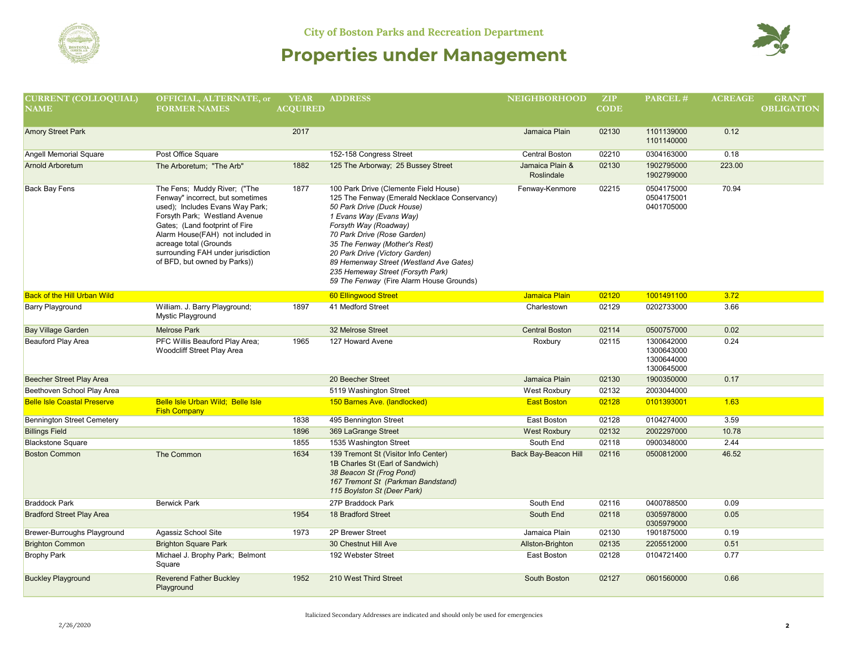



| <b>CURRENT (COLLOQUIAL)</b>        | OFFICIAL, ALTERNATE, or                                                                                                                                                                                                                                                                                    | <b>YEAR</b>     | <b>ADDRESS</b>                                                                                                                                                                                                                                                                                                                                                                                         | <b>NEIGHBORHOOD</b>           | ZIP         | PARCEL#                                              | <b>ACREAGE</b> | <b>GRANT</b>      |
|------------------------------------|------------------------------------------------------------------------------------------------------------------------------------------------------------------------------------------------------------------------------------------------------------------------------------------------------------|-----------------|--------------------------------------------------------------------------------------------------------------------------------------------------------------------------------------------------------------------------------------------------------------------------------------------------------------------------------------------------------------------------------------------------------|-------------------------------|-------------|------------------------------------------------------|----------------|-------------------|
| <b>NAME</b>                        | <b>FORMER NAMES</b>                                                                                                                                                                                                                                                                                        | <b>ACOUIRED</b> |                                                                                                                                                                                                                                                                                                                                                                                                        |                               | <b>CODE</b> |                                                      |                | <b>OBLIGATION</b> |
| <b>Amory Street Park</b>           |                                                                                                                                                                                                                                                                                                            | 2017            |                                                                                                                                                                                                                                                                                                                                                                                                        | Jamaica Plain                 | 02130       | 1101139000<br>1101140000                             | 0.12           |                   |
| Angell Memorial Square             | Post Office Square                                                                                                                                                                                                                                                                                         |                 | 152-158 Congress Street                                                                                                                                                                                                                                                                                                                                                                                | <b>Central Boston</b>         | 02210       | 0304163000                                           | 0.18           |                   |
| <b>Arnold Arboretum</b>            | The Arboretum; "The Arb"                                                                                                                                                                                                                                                                                   | 1882            | 125 The Arborway; 25 Bussey Street                                                                                                                                                                                                                                                                                                                                                                     | Jamaica Plain &<br>Roslindale | 02130       | 1902795000<br>1902799000                             | 223.00         |                   |
| Back Bay Fens                      | The Fens; Muddy River; ("The<br>Fenway" incorrect, but sometimes<br>used); Includes Evans Way Park;<br>Forsyth Park; Westland Avenue<br>Gates; (Land footprint of Fire<br>Alarm House(FAH) not included in<br>acreage total (Grounds<br>surrounding FAH under jurisdiction<br>of BFD, but owned by Parks)) | 1877            | 100 Park Drive (Clemente Field House)<br>125 The Fenway (Emerald Necklace Conservancy)<br>50 Park Drive (Duck House)<br>1 Evans Way (Evans Way)<br>Forsyth Way (Roadway)<br>70 Park Drive (Rose Garden)<br>35 The Fenway (Mother's Rest)<br>20 Park Drive (Victory Garden)<br>89 Hemenway Street (Westland Ave Gates)<br>235 Hemeway Street (Forsyth Park)<br>59 The Fenway (Fire Alarm House Grounds) | Fenway-Kenmore                | 02215       | 0504175000<br>0504175001<br>0401705000               | 70.94          |                   |
| <b>Back of the Hill Urban Wild</b> |                                                                                                                                                                                                                                                                                                            |                 | 60 Ellingwood Street                                                                                                                                                                                                                                                                                                                                                                                   | Jamaica Plain                 | 02120       | 1001491100                                           | 3.72           |                   |
| <b>Barry Playground</b>            | William. J. Barry Playground;<br>Mystic Playground                                                                                                                                                                                                                                                         | 1897            | 41 Medford Street                                                                                                                                                                                                                                                                                                                                                                                      | Charlestown                   | 02129       | 0202733000                                           | 3.66           |                   |
| <b>Bay Village Garden</b>          | <b>Melrose Park</b>                                                                                                                                                                                                                                                                                        |                 | 32 Melrose Street                                                                                                                                                                                                                                                                                                                                                                                      | <b>Central Boston</b>         | 02114       | 0500757000                                           | 0.02           |                   |
| <b>Beauford Play Area</b>          | PFC Willis Beauford Play Area;<br>Woodcliff Street Play Area                                                                                                                                                                                                                                               | 1965            | 127 Howard Avene                                                                                                                                                                                                                                                                                                                                                                                       | Roxbury                       | 02115       | 1300642000<br>1300643000<br>1300644000<br>1300645000 | 0.24           |                   |
| Beecher Street Play Area           |                                                                                                                                                                                                                                                                                                            |                 | 20 Beecher Street                                                                                                                                                                                                                                                                                                                                                                                      | Jamaica Plain                 | 02130       | 1900350000                                           | 0.17           |                   |
| Beethoven School Play Area         |                                                                                                                                                                                                                                                                                                            |                 | 5119 Washington Street                                                                                                                                                                                                                                                                                                                                                                                 | West Roxbury                  | 02132       | 2003044000                                           |                |                   |
| <b>Belle Isle Coastal Preserve</b> | Belle Isle Urban Wild; Belle Isle<br><b>Fish Company</b>                                                                                                                                                                                                                                                   |                 | 150 Barnes Ave. (landlocked)                                                                                                                                                                                                                                                                                                                                                                           | <b>East Boston</b>            | 02128       | 0101393001                                           | 1.63           |                   |
| <b>Bennington Street Cemetery</b>  |                                                                                                                                                                                                                                                                                                            | 1838            | 495 Bennington Street                                                                                                                                                                                                                                                                                                                                                                                  | East Boston                   | 02128       | 0104274000                                           | 3.59           |                   |
| <b>Billings Field</b>              |                                                                                                                                                                                                                                                                                                            | 1896            | 369 LaGrange Street                                                                                                                                                                                                                                                                                                                                                                                    | <b>West Roxbury</b>           | 02132       | 2002297000                                           | 10.78          |                   |
| <b>Blackstone Square</b>           |                                                                                                                                                                                                                                                                                                            | 1855            | 1535 Washington Street                                                                                                                                                                                                                                                                                                                                                                                 | South End                     | 02118       | 0900348000                                           | 2.44           |                   |
| <b>Boston Common</b>               | The Common                                                                                                                                                                                                                                                                                                 | 1634            | 139 Tremont St (Visitor Info Center)<br>1B Charles St (Earl of Sandwich)<br>38 Beacon St (Frog Pond)<br>167 Tremont St (Parkman Bandstand)<br>115 Boylston St (Deer Park)                                                                                                                                                                                                                              | <b>Back Bay-Beacon Hill</b>   | 02116       | 0500812000                                           | 46.52          |                   |
| <b>Braddock Park</b>               | <b>Berwick Park</b>                                                                                                                                                                                                                                                                                        |                 | 27P Braddock Park                                                                                                                                                                                                                                                                                                                                                                                      | South End                     | 02116       | 0400788500                                           | 0.09           |                   |
| <b>Bradford Street Play Area</b>   |                                                                                                                                                                                                                                                                                                            | 1954            | 18 Bradford Street                                                                                                                                                                                                                                                                                                                                                                                     | South End                     | 02118       | 0305978000<br>0305979000                             | 0.05           |                   |
| Brewer-Burroughs Playground        | Agassiz School Site                                                                                                                                                                                                                                                                                        | 1973            | 2P Brewer Street                                                                                                                                                                                                                                                                                                                                                                                       | Jamaica Plain                 | 02130       | 1901875000                                           | 0.19           |                   |
| <b>Brighton Common</b>             | <b>Brighton Square Park</b>                                                                                                                                                                                                                                                                                |                 | 30 Chestnut Hill Ave                                                                                                                                                                                                                                                                                                                                                                                   | Allston-Brighton              | 02135       | 2205512000                                           | 0.51           |                   |
| <b>Brophy Park</b>                 | Michael J. Brophy Park; Belmont<br>Square                                                                                                                                                                                                                                                                  |                 | 192 Webster Street                                                                                                                                                                                                                                                                                                                                                                                     | East Boston                   | 02128       | 0104721400                                           | 0.77           |                   |
| <b>Buckley Playground</b>          | <b>Reverend Father Buckley</b><br>Playground                                                                                                                                                                                                                                                               | 1952            | 210 West Third Street                                                                                                                                                                                                                                                                                                                                                                                  | South Boston                  | 02127       | 0601560000                                           | 0.66           |                   |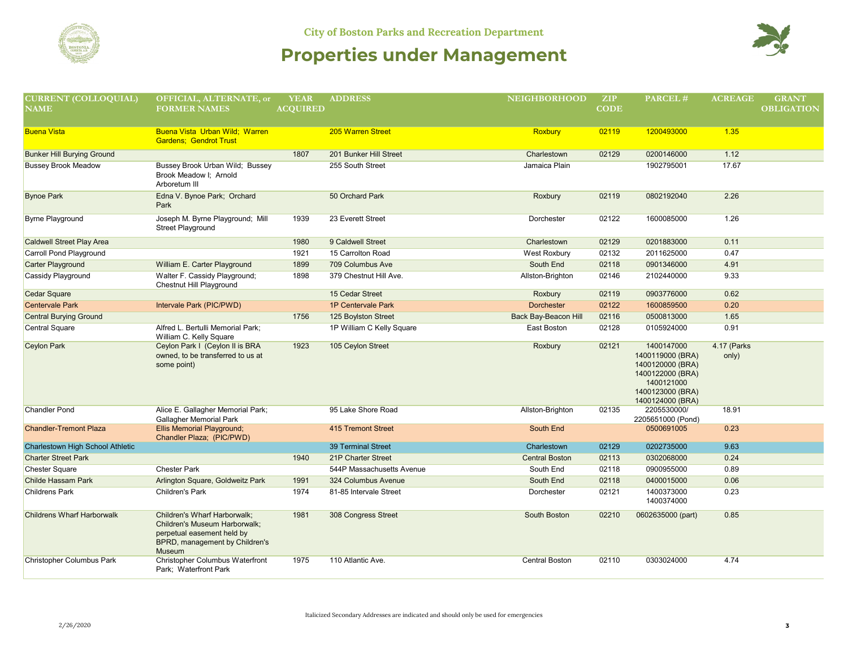



| <b>CURRENT (COLLOQUIAL)</b>       | OFFICIAL, ALTERNATE, or                                                                                                                        | <b>YEAR</b>     | <b>ADDRESS</b>            | <b>NEIGHBORHOOD</b>   | ZIP         | PARCEL#                                                                                                                      | <b>ACREAGE</b>       | <b>GRANT</b>      |
|-----------------------------------|------------------------------------------------------------------------------------------------------------------------------------------------|-----------------|---------------------------|-----------------------|-------------|------------------------------------------------------------------------------------------------------------------------------|----------------------|-------------------|
| <b>NAME</b>                       | <b>FORMER NAMES</b>                                                                                                                            | <b>ACQUIRED</b> |                           |                       | <b>CODE</b> |                                                                                                                              |                      | <b>OBLIGATION</b> |
|                                   |                                                                                                                                                |                 |                           |                       |             |                                                                                                                              |                      |                   |
| <b>Buena Vista</b>                | Buena Vista Urban Wild; Warren<br><b>Gardens: Gendrot Trust</b>                                                                                |                 | 205 Warren Street         | <b>Roxbury</b>        | 02119       | 1200493000                                                                                                                   | 1.35                 |                   |
| <b>Bunker Hill Burying Ground</b> |                                                                                                                                                | 1807            | 201 Bunker Hill Street    | Charlestown           | 02129       | 0200146000                                                                                                                   | 1.12                 |                   |
| <b>Bussey Brook Meadow</b>        | Bussey Brook Urban Wild; Bussey<br>Brook Meadow I; Arnold<br>Arboretum III                                                                     |                 | 255 South Street          | Jamaica Plain         |             | 1902795001                                                                                                                   | 17.67                |                   |
| <b>Bynoe Park</b>                 | Edna V. Bynoe Park; Orchard<br>Park                                                                                                            |                 | 50 Orchard Park           | Roxbury               | 02119       | 0802192040                                                                                                                   | 2.26                 |                   |
| <b>Byrne Playground</b>           | Joseph M. Byrne Playground; Mill<br><b>Street Playground</b>                                                                                   | 1939            | 23 Everett Street         | Dorchester            | 02122       | 1600085000                                                                                                                   | 1.26                 |                   |
| <b>Caldwell Street Play Area</b>  |                                                                                                                                                | 1980            | 9 Caldwell Street         | Charlestown           | 02129       | 0201883000                                                                                                                   | 0.11                 |                   |
| Carroll Pond Playground           |                                                                                                                                                | 1921            | 15 Carrolton Road         | West Roxbury          | 02132       | 2011625000                                                                                                                   | 0.47                 |                   |
| <b>Carter Playground</b>          | William E. Carter Playground                                                                                                                   | 1899            | 709 Columbus Ave          | South End             | 02118       | 0901346000                                                                                                                   | 4.91                 |                   |
| Cassidy Playground                | Walter F. Cassidy Playground;<br>Chestnut Hill Playground                                                                                      | 1898            | 379 Chestnut Hill Ave.    | Allston-Brighton      | 02146       | 2102440000                                                                                                                   | 9.33                 |                   |
| <b>Cedar Square</b>               |                                                                                                                                                |                 | 15 Cedar Street           | Roxbury               | 02119       | 0903776000                                                                                                                   | 0.62                 |                   |
| <b>Centervale Park</b>            | Intervale Park (PIC/PWD)                                                                                                                       |                 | 1P Centervale Park        | <b>Dorchester</b>     | 02122       | 1600859500                                                                                                                   | 0.20                 |                   |
| <b>Central Burying Ground</b>     |                                                                                                                                                | 1756            | 125 Boylston Street       | Back Bay-Beacon Hill  | 02116       | 0500813000                                                                                                                   | 1.65                 |                   |
| <b>Central Square</b>             | Alfred L. Bertulli Memorial Park;<br>William C. Kelly Square                                                                                   |                 | 1P William C Kelly Square | East Boston           | 02128       | 0105924000                                                                                                                   | 0.91                 |                   |
| <b>Ceylon Park</b>                | Ceylon Park I (Ceylon II is BRA<br>owned, to be transferred to us at<br>some point)                                                            | 1923            | 105 Ceylon Street         | Roxbury               | 02121       | 1400147000<br>1400119000 (BRA)<br>1400120000 (BRA)<br>1400122000 (BRA)<br>1400121000<br>1400123000 (BRA)<br>1400124000 (BRA) | 4.17 (Parks<br>only) |                   |
| <b>Chandler Pond</b>              | Alice E. Gallagher Memorial Park;<br>Gallagher Memorial Park                                                                                   |                 | 95 Lake Shore Road        | Allston-Brighton      | 02135       | 2205530000/<br>2205651000 (Pond)                                                                                             | 18.91                |                   |
| <b>Chandler-Tremont Plaza</b>     | <b>Ellis Memorial Playground;</b><br>Chandler Plaza; (PIC/PWD)                                                                                 |                 | 415 Tremont Street        | South End             |             | 0500691005                                                                                                                   | 0.23                 |                   |
| Charlestown High School Athletic  |                                                                                                                                                |                 | <b>39 Terminal Street</b> | Charlestown           | 02129       | 0202735000                                                                                                                   | 9.63                 |                   |
| <b>Charter Street Park</b>        |                                                                                                                                                | 1940            | 21P Charter Street        | <b>Central Boston</b> | 02113       | 0302068000                                                                                                                   | 0.24                 |                   |
| <b>Chester Square</b>             | <b>Chester Park</b>                                                                                                                            |                 | 544P Massachusetts Avenue | South End             | 02118       | 0900955000                                                                                                                   | 0.89                 |                   |
| Childe Hassam Park                | Arlington Square, Goldweitz Park                                                                                                               | 1991            | 324 Columbus Avenue       | South End             | 02118       | 0400015000                                                                                                                   | 0.06                 |                   |
| <b>Childrens Park</b>             | Children's Park                                                                                                                                | 1974            | 81-85 Intervale Street    | Dorchester            | 02121       | 1400373000<br>1400374000                                                                                                     | 0.23                 |                   |
| <b>Childrens Wharf Harborwalk</b> | Children's Wharf Harborwalk:<br>Children's Museum Harborwalk;<br>perpetual easement held by<br>BPRD, management by Children's<br><b>Museum</b> | 1981            | 308 Congress Street       | South Boston          | 02210       | 0602635000 (part)                                                                                                            | 0.85                 |                   |
| <b>Christopher Columbus Park</b>  | Christopher Columbus Waterfront<br>Park: Waterfront Park                                                                                       | 1975            | 110 Atlantic Ave.         | <b>Central Boston</b> | 02110       | 0303024000                                                                                                                   | 4.74                 |                   |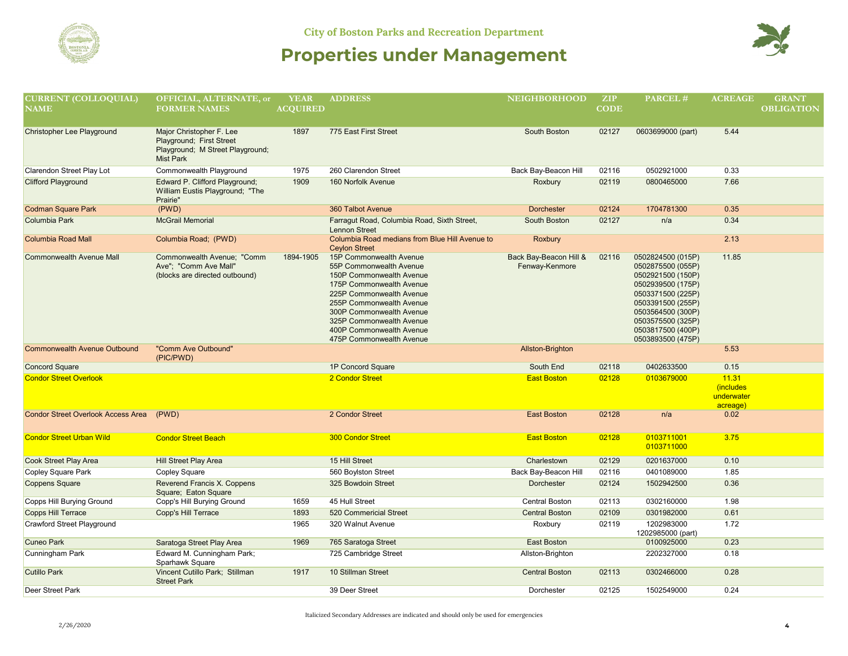



| <b>CURRENT (COLLOQUIAL)</b><br><b>NAME</b> | OFFICIAL, ALTERNATE, or<br><b>FORMER NAMES</b>                                                               | <b>YEAR</b><br><b>ACOUIRED</b> | <b>ADDRESS</b>                                                                                                                                                                                                                                                                     | <b>NEIGHBORHOOD</b>                      | ZIP<br><b>CODE</b> | PARCEL#                                                                                                                                                                                                        | <b>ACREAGE</b>                               | <b>GRANT</b><br><b>OBLIGATION</b> |
|--------------------------------------------|--------------------------------------------------------------------------------------------------------------|--------------------------------|------------------------------------------------------------------------------------------------------------------------------------------------------------------------------------------------------------------------------------------------------------------------------------|------------------------------------------|--------------------|----------------------------------------------------------------------------------------------------------------------------------------------------------------------------------------------------------------|----------------------------------------------|-----------------------------------|
| Christopher Lee Playground                 | Major Christopher F. Lee<br>Playground; First Street<br>Playground; M Street Playground;<br><b>Mist Park</b> | 1897                           | 775 East First Street                                                                                                                                                                                                                                                              | South Boston                             | 02127              | 0603699000 (part)                                                                                                                                                                                              | 5.44                                         |                                   |
| <b>Clarendon Street Play Lot</b>           | Commonwealth Playground                                                                                      | 1975                           | 260 Clarendon Street                                                                                                                                                                                                                                                               | Back Bay-Beacon Hill                     | 02116              | 0502921000                                                                                                                                                                                                     | 0.33                                         |                                   |
| <b>Clifford Playground</b>                 | Edward P. Clifford Playground;<br>William Eustis Playground; "The<br>Prairie"                                | 1909                           | 160 Norfolk Avenue                                                                                                                                                                                                                                                                 | Roxbury                                  | 02119              | 0800465000                                                                                                                                                                                                     | 7.66                                         |                                   |
| <b>Codman Square Park</b>                  | (PWD)                                                                                                        |                                | 360 Talbot Avenue                                                                                                                                                                                                                                                                  | <b>Dorchester</b>                        | 02124              | 1704781300                                                                                                                                                                                                     | 0.35                                         |                                   |
| <b>Columbia Park</b>                       | <b>McGrail Memorial</b>                                                                                      |                                | Farragut Road, Columbia Road, Sixth Street,<br><b>Lennon Street</b>                                                                                                                                                                                                                | South Boston                             | 02127              | n/a                                                                                                                                                                                                            | 0.34                                         |                                   |
| <b>Columbia Road Mall</b>                  | Columbia Road; (PWD)                                                                                         |                                | Columbia Road medians from Blue Hill Avenue to<br><b>Ceylon Street</b>                                                                                                                                                                                                             | Roxbury                                  |                    |                                                                                                                                                                                                                | 2.13                                         |                                   |
| <b>Commonwealth Avenue Mall</b>            | Commonwealth Avenue: "Comm<br>Ave": "Comm Ave Mall"<br>(blocks are directed outbound)                        | 1894-1905                      | 15P Commonwealth Avenue<br>55P Commonwealth Avenue<br>150P Commonwealth Avenue<br>175P Commonwealth Avenue<br>225P Commonwealth Avenue<br>255P Commonwealth Avenue<br>300P Commonwealth Avenue<br>325P Commonwealth Avenue<br>400P Commonwealth Avenue<br>475P Commonwealth Avenue | Back Bay-Beacon Hill &<br>Fenway-Kenmore | 02116              | 0502824500 (015P)<br>0502875500 (055P)<br>0502921500 (150P)<br>0502939500 (175P)<br>0503371500 (225P)<br>0503391500 (255P)<br>0503564500 (300P)<br>0503575500 (325P)<br>0503817500 (400P)<br>0503893500 (475P) | 11.85                                        |                                   |
| <b>Commonwealth Avenue Outbound</b>        | "Comm Ave Outbound"<br>(PIC/PWD)                                                                             |                                |                                                                                                                                                                                                                                                                                    | Allston-Brighton                         |                    |                                                                                                                                                                                                                | 5.53                                         |                                   |
| <b>Concord Square</b>                      |                                                                                                              |                                | 1P Concord Square                                                                                                                                                                                                                                                                  | South End                                | 02118              | 0402633500                                                                                                                                                                                                     | 0.15                                         |                                   |
| <b>Condor Street Overlook</b>              |                                                                                                              |                                | 2 Condor Street                                                                                                                                                                                                                                                                    | <b>East Boston</b>                       | 02128              | 0103679000                                                                                                                                                                                                     | 11.31<br>(includes<br>underwater<br>acreage) |                                   |
| <b>Condor Street Overlook Access Area</b>  | (PWD)                                                                                                        |                                | 2 Condor Street                                                                                                                                                                                                                                                                    | <b>East Boston</b>                       | 02128              | n/a                                                                                                                                                                                                            | 0.02                                         |                                   |
| <b>Condor Street Urban Wild</b>            | <b>Condor Street Beach</b>                                                                                   |                                | <b>300 Condor Street</b>                                                                                                                                                                                                                                                           | <b>East Boston</b>                       | 02128              | 0103711001<br>0103711000                                                                                                                                                                                       | 3.75                                         |                                   |
| Cook Street Play Area                      | Hill Street Play Area                                                                                        |                                | 15 Hill Street                                                                                                                                                                                                                                                                     | Charlestown                              | 02129              | 0201637000                                                                                                                                                                                                     | 0.10                                         |                                   |
| Copley Square Park                         | <b>Copley Square</b>                                                                                         |                                | 560 Boylston Street                                                                                                                                                                                                                                                                | Back Bay-Beacon Hill                     | 02116              | 0401089000                                                                                                                                                                                                     | 1.85                                         |                                   |
| <b>Coppens Square</b>                      | Reverend Francis X. Coppens<br>Square; Eaton Square                                                          |                                | 325 Bowdoin Street                                                                                                                                                                                                                                                                 | <b>Dorchester</b>                        | 02124              | 1502942500                                                                                                                                                                                                     | 0.36                                         |                                   |
| Copps Hill Burying Ground                  | Copp's Hill Burying Ground                                                                                   | 1659                           | 45 Hull Street                                                                                                                                                                                                                                                                     | Central Boston                           | 02113              | 0302160000                                                                                                                                                                                                     | 1.98                                         |                                   |
| Copps Hill Terrace                         | Copp's Hill Terrace                                                                                          | 1893                           | 520 Commericial Street                                                                                                                                                                                                                                                             | <b>Central Boston</b>                    | 02109              | 0301982000                                                                                                                                                                                                     | 0.61                                         |                                   |
| <b>Crawford Street Playground</b>          |                                                                                                              | 1965                           | 320 Walnut Avenue                                                                                                                                                                                                                                                                  | Roxbury                                  | 02119              | 1202983000<br>1202985000 (part)                                                                                                                                                                                | 1.72                                         |                                   |
| <b>Cuneo Park</b>                          | Saratoga Street Play Area                                                                                    | 1969                           | 765 Saratoga Street                                                                                                                                                                                                                                                                | <b>East Boston</b>                       |                    | 0100925000                                                                                                                                                                                                     | 0.23                                         |                                   |
| Cunningham Park                            | Edward M. Cunningham Park;<br>Sparhawk Square                                                                |                                | 725 Cambridge Street                                                                                                                                                                                                                                                               | Allston-Brighton                         |                    | 2202327000                                                                                                                                                                                                     | 0.18                                         |                                   |
| <b>Cutillo Park</b>                        | Vincent Cutillo Park; Stillman<br><b>Street Park</b>                                                         | 1917                           | 10 Stillman Street                                                                                                                                                                                                                                                                 | <b>Central Boston</b>                    | 02113              | 0302466000                                                                                                                                                                                                     | 0.28                                         |                                   |
| <b>Deer Street Park</b>                    |                                                                                                              |                                | 39 Deer Street                                                                                                                                                                                                                                                                     | Dorchester                               | 02125              | 1502549000                                                                                                                                                                                                     | 0.24                                         |                                   |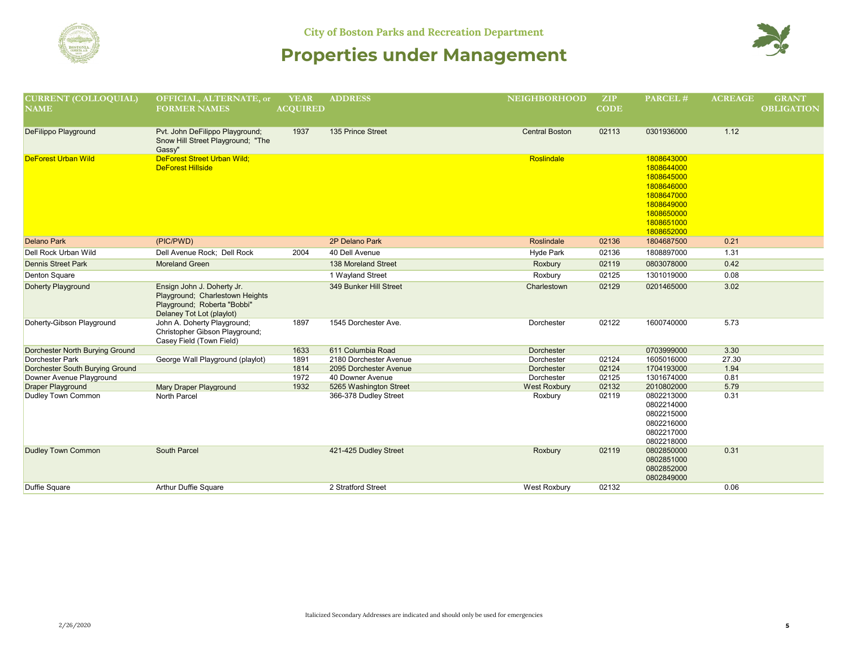

| <b>CURRENT (COLLOQUIAL)</b>     | OFFICIAL, ALTERNATE, or                                                                                                   | <b>YEAR</b>     | <b>ADDRESS</b>         | <b>NEIGHBORHOOD</b>   | <b>ZIP</b>  | PARCEL#                                                                                                                    | <b>ACREAGE</b> | <b>GRANT</b>      |
|---------------------------------|---------------------------------------------------------------------------------------------------------------------------|-----------------|------------------------|-----------------------|-------------|----------------------------------------------------------------------------------------------------------------------------|----------------|-------------------|
| <b>NAME</b>                     | <b>FORMER NAMES</b>                                                                                                       | <b>ACQUIRED</b> |                        |                       | <b>CODE</b> |                                                                                                                            |                | <b>OBLIGATION</b> |
|                                 |                                                                                                                           |                 |                        |                       |             |                                                                                                                            |                |                   |
| DeFilippo Playground            | Pvt. John DeFilippo Playground;<br>Snow Hill Street Playground; "The<br>Gassy"                                            | 1937            | 135 Prince Street      | <b>Central Boston</b> | 02113       | 0301936000                                                                                                                 | 1.12           |                   |
| <b>DeForest Urban Wild</b>      | <b>DeForest Street Urban Wild:</b><br><b>DeForest Hillside</b>                                                            |                 |                        | Roslindale            |             | 1808643000<br>1808644000<br>1808645000<br>1808646000<br>1808647000<br>1808649000<br>1808650000<br>1808651000<br>1808652000 |                |                   |
| <b>Delano Park</b>              | (PIC/PWD)                                                                                                                 |                 | 2P Delano Park         | Roslindale            | 02136       | 1804687500                                                                                                                 | 0.21           |                   |
| <b>Dell Rock Urban Wild</b>     | Dell Avenue Rock: Dell Rock                                                                                               | 2004            | 40 Dell Avenue         | Hyde Park             | 02136       | 1808897000                                                                                                                 | 1.31           |                   |
| <b>Dennis Street Park</b>       | <b>Moreland Green</b>                                                                                                     |                 | 138 Moreland Street    | Roxbury               | 02119       | 0803078000                                                                                                                 | 0.42           |                   |
| <b>Denton Square</b>            |                                                                                                                           |                 | 1 Wayland Street       | Roxbury               | 02125       | 1301019000                                                                                                                 | 0.08           |                   |
| Doherty Playground              | Ensign John J. Doherty Jr.<br>Playground; Charlestown Heights<br>Playground; Roberta "Bobbi"<br>Delaney Tot Lot (playlot) |                 | 349 Bunker Hill Street | Charlestown           | 02129       | 0201465000                                                                                                                 | 3.02           |                   |
| Doherty-Gibson Playground       | John A. Doherty Playground;<br>Christopher Gibson Playground;<br>Casey Field (Town Field)                                 | 1897            | 1545 Dorchester Ave.   | Dorchester            | 02122       | 1600740000                                                                                                                 | 5.73           |                   |
| Dorchester North Burying Ground |                                                                                                                           | 1633            | 611 Columbia Road      | Dorchester            |             | 0703999000                                                                                                                 | 3.30           |                   |
| Dorchester Park                 | George Wall Playground (playlot)                                                                                          | 1891            | 2180 Dorchester Avenue | Dorchester            | 02124       | 1605016000                                                                                                                 | 27.30          |                   |
| Dorchester South Burying Ground |                                                                                                                           | 1814            | 2095 Dorchester Avenue | Dorchester            | 02124       | 1704193000                                                                                                                 | 1.94           |                   |
| Downer Avenue Playground        |                                                                                                                           | 1972            | 40 Downer Avenue       | Dorchester            | 02125       | 1301674000                                                                                                                 | 0.81           |                   |
| <b>Draper Playground</b>        | Mary Draper Playground                                                                                                    | 1932            | 5265 Washington Street | <b>West Roxbury</b>   | 02132       | 2010802000                                                                                                                 | 5.79           |                   |
| Dudley Town Common              | North Parcel                                                                                                              |                 | 366-378 Dudley Street  | Roxbury               | 02119       | 0802213000<br>0802214000<br>0802215000<br>0802216000<br>0802217000<br>0802218000                                           | 0.31           |                   |
| <b>Dudley Town Common</b>       | South Parcel                                                                                                              |                 | 421-425 Dudley Street  | Roxbury               | 02119       | 0802850000<br>0802851000<br>0802852000<br>0802849000                                                                       | 0.31           |                   |
| <b>Duffie Square</b>            | Arthur Duffie Square                                                                                                      |                 | 2 Stratford Street     | West Roxbury          | 02132       |                                                                                                                            | 0.06           |                   |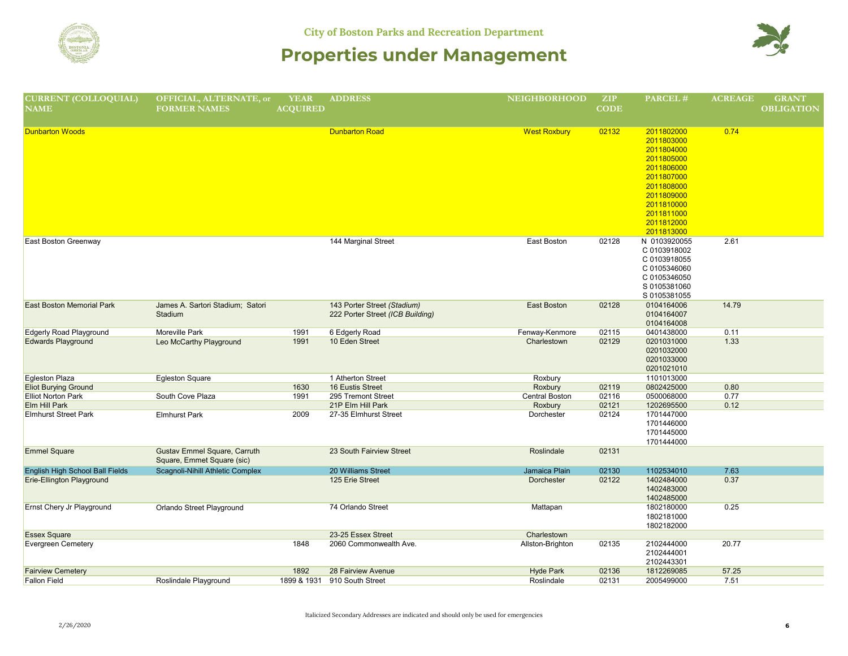

| <b>CURRENT (COLLOQUIAL)</b>                                                            | OFFICIAL, ALTERNATE, or                     | <b>YEAR</b>     | <b>ADDRESS</b>                   | <b>NEIGHBORHOOD</b> | ZIP         | PARCEL#                  | <b>ACREAGE</b> | <b>GRANT</b>      |
|----------------------------------------------------------------------------------------|---------------------------------------------|-----------------|----------------------------------|---------------------|-------------|--------------------------|----------------|-------------------|
| $\overline{\mathbf{N}}\overline{\mathbf{A}}\overline{\mathbf{M}}\overline{\mathbf{E}}$ | <b>FORMER NAMES</b>                         | <b>ACQUIRED</b> |                                  |                     | <b>CODE</b> |                          |                | <b>OBLIGATION</b> |
|                                                                                        |                                             |                 |                                  |                     |             |                          |                |                   |
| <b>Dunbarton Woods</b>                                                                 |                                             |                 | <b>Dunbarton Road</b>            | <b>West Roxbury</b> | 02132       | 2011802000               | 0.74           |                   |
|                                                                                        |                                             |                 |                                  |                     |             | 2011803000               |                |                   |
|                                                                                        |                                             |                 |                                  |                     |             | 2011804000               |                |                   |
|                                                                                        |                                             |                 |                                  |                     |             | 2011805000               |                |                   |
|                                                                                        |                                             |                 |                                  |                     |             | 2011806000               |                |                   |
|                                                                                        |                                             |                 |                                  |                     |             | 2011807000               |                |                   |
|                                                                                        |                                             |                 |                                  |                     |             | 2011808000               |                |                   |
|                                                                                        |                                             |                 |                                  |                     |             | 2011809000               |                |                   |
|                                                                                        |                                             |                 |                                  |                     |             | 2011810000               |                |                   |
|                                                                                        |                                             |                 |                                  |                     |             | 2011811000               |                |                   |
|                                                                                        |                                             |                 |                                  |                     |             | 2011812000               |                |                   |
|                                                                                        |                                             |                 |                                  |                     |             | 2011813000               |                |                   |
|                                                                                        |                                             |                 | 144 Marginal Street              | East Boston         | 02128       | N 0103920055             | 2.61           |                   |
| East Boston Greenway                                                                   |                                             |                 |                                  |                     |             |                          |                |                   |
|                                                                                        |                                             |                 |                                  |                     |             | C 0103918002             |                |                   |
|                                                                                        |                                             |                 |                                  |                     |             | C 0103918055             |                |                   |
|                                                                                        |                                             |                 |                                  |                     |             | C 0105346060             |                |                   |
|                                                                                        |                                             |                 |                                  |                     |             | C 0105346050             |                |                   |
|                                                                                        |                                             |                 |                                  |                     |             | S 0105381060             |                |                   |
| <b>East Boston Memorial Park</b>                                                       |                                             |                 | 143 Porter Street (Stadium)      | East Boston         |             | S 0105381055             | 14.79          |                   |
|                                                                                        | James A. Sartori Stadium; Satori<br>Stadium |                 |                                  |                     | 02128       | 0104164006               |                |                   |
|                                                                                        |                                             |                 | 222 Porter Street (ICB Building) |                     |             | 0104164007<br>0104164008 |                |                   |
| <b>Edgerly Road Playground</b>                                                         | Moreville Park                              | 1991            | 6 Edgerly Road                   | Fenway-Kenmore      | 02115       | 0401438000               | 0.11           |                   |
| <b>Edwards Playground</b>                                                              | Leo McCarthy Playground                     | 1991            | 10 Eden Street                   | Charlestown         | 02129       | 0201031000               | 1.33           |                   |
|                                                                                        |                                             |                 |                                  |                     |             | 0201032000               |                |                   |
|                                                                                        |                                             |                 |                                  |                     |             | 0201033000               |                |                   |
|                                                                                        |                                             |                 |                                  |                     |             | 0201021010               |                |                   |
| Egleston Plaza                                                                         | <b>Egleston Square</b>                      |                 | 1 Atherton Street                | Roxbury             |             | 1101013000               |                |                   |
| <b>Eliot Burying Ground</b>                                                            |                                             | 1630            | 16 Eustis Street                 | Roxbury             | 02119       | 0802425000               | 0.80           |                   |
| Elliot Norton Park                                                                     | South Cove Plaza                            | 1991            | 295 Tremont Street               | Central Boston      | 02116       | 0500068000               | 0.77           |                   |
| Elm Hill Park                                                                          |                                             |                 | 21P Elm Hill Park                | Roxbury             | 02121       | 1202695500               | 0.12           |                   |
| <b>Elmhurst Street Park</b>                                                            | <b>Elmhurst Park</b>                        | 2009            | 27-35 Elmhurst Street            | Dorchester          | 02124       | 1701447000               |                |                   |
|                                                                                        |                                             |                 |                                  |                     |             | 1701446000               |                |                   |
|                                                                                        |                                             |                 |                                  |                     |             | 1701445000               |                |                   |
|                                                                                        |                                             |                 |                                  |                     |             | 1701444000               |                |                   |
| <b>Emmel Square</b>                                                                    | Gustav Emmel Square, Carruth                |                 | 23 South Fairview Street         | Roslindale          | 02131       |                          |                |                   |
|                                                                                        | Square, Emmet Square (sic)                  |                 |                                  |                     |             |                          |                |                   |
| English High School Ball Fields                                                        | Scagnoli-Nihill Athletic Complex            |                 | 20 Williams Street               | Jamaica Plain       | 02130       | 1102534010               | 7.63           |                   |
| Erie-Ellington Playground                                                              |                                             |                 | 125 Erie Street                  | Dorchester          | 02122       | 1402484000               | 0.37           |                   |
|                                                                                        |                                             |                 |                                  |                     |             | 1402483000               |                |                   |
|                                                                                        |                                             |                 |                                  |                     |             | 1402485000               |                |                   |
| Ernst Chery Jr Playground                                                              | Orlando Street Playground                   |                 | 74 Orlando Street                | Mattapan            |             | 1802180000               | 0.25           |                   |
|                                                                                        |                                             |                 |                                  |                     |             | 1802181000               |                |                   |
|                                                                                        |                                             |                 |                                  |                     |             | 1802182000               |                |                   |
| <b>Essex Square</b>                                                                    |                                             |                 | 23-25 Essex Street               | Charlestown         |             |                          |                |                   |
| <b>Evergreen Cemetery</b>                                                              |                                             | 1848            | 2060 Commonwealth Ave.           | Allston-Brighton    | 02135       | 2102444000               | 20.77          |                   |
|                                                                                        |                                             |                 |                                  |                     |             | 2102444001               |                |                   |
|                                                                                        |                                             |                 |                                  |                     |             | 2102443301               |                |                   |
| <b>Fairview Cemetery</b>                                                               |                                             | 1892            | 28 Fairview Avenue               | <b>Hyde Park</b>    | 02136       | 1812269085               | 57.25          |                   |
| <b>Fallon Field</b>                                                                    | Roslindale Playground                       | 1899 & 1931     | 910 South Street                 | Roslindale          | 02131       | 2005499000               | 7.51           |                   |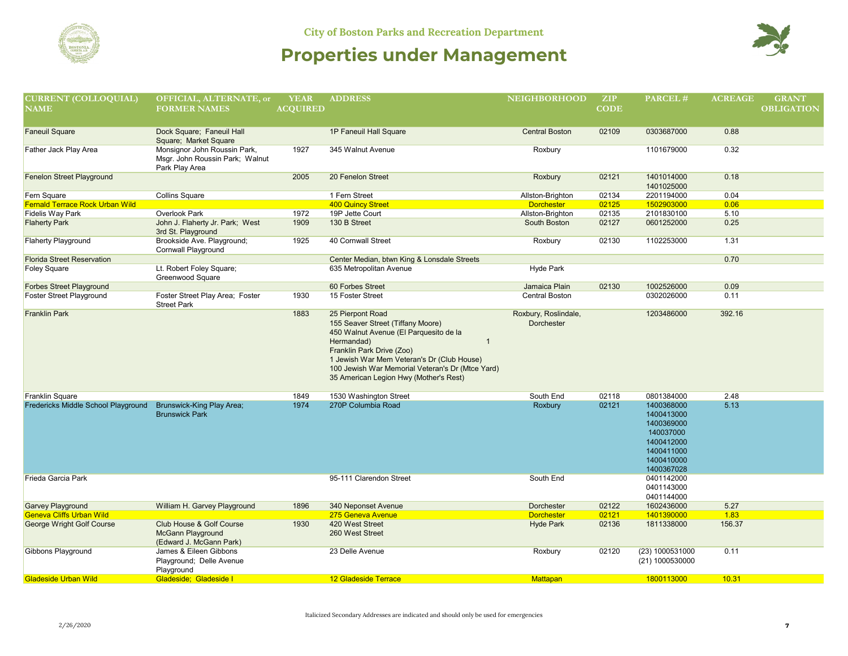

| <b>CURRENT (COLLOQUIAL)</b>                           | OFFICIAL, ALTERNATE, or                               | <b>YEAR</b>     | <b>ADDRESS</b>                                                          | <b>NEIGHBORHOOD</b>                   | ZIP            | PARCEL#                  | <b>ACREAGE</b> | <b>GRANT</b>      |
|-------------------------------------------------------|-------------------------------------------------------|-----------------|-------------------------------------------------------------------------|---------------------------------------|----------------|--------------------------|----------------|-------------------|
| <b>NAME</b>                                           | <b>FORMER NAMES</b>                                   | <b>ACOUIRED</b> |                                                                         |                                       | <b>CODE</b>    |                          |                | <b>OBLIGATION</b> |
|                                                       |                                                       |                 |                                                                         |                                       |                |                          |                |                   |
| <b>Faneuil Square</b>                                 | Dock Square; Faneuil Hall                             |                 | 1P Faneuil Hall Square                                                  | <b>Central Boston</b>                 | 02109          | 0303687000               | 0.88           |                   |
|                                                       | Square; Market Square                                 |                 |                                                                         |                                       |                |                          |                |                   |
| Father Jack Play Area                                 | Monsignor John Roussin Park,                          | 1927            | 345 Walnut Avenue                                                       | Roxbury                               |                | 1101679000               | 0.32           |                   |
|                                                       | Msgr. John Roussin Park; Walnut                       |                 |                                                                         |                                       |                |                          |                |                   |
|                                                       | Park Play Area                                        |                 |                                                                         |                                       |                |                          |                |                   |
| Fenelon Street Playground                             |                                                       | 2005            | 20 Fenelon Street                                                       | Roxbury                               | 02121          | 1401014000               | 0.18           |                   |
|                                                       |                                                       |                 |                                                                         |                                       |                | 1401025000               |                |                   |
| Fern Square<br><b>Fernald Terrace Rock Urban Wild</b> | <b>Collins Square</b>                                 |                 | 1 Fern Street<br><b>400 Quincy Street</b>                               | Allston-Brighton<br><b>Dorchester</b> | 02134<br>02125 | 2201194000<br>1502903000 | 0.04<br>0.06   |                   |
| Fidelis Way Park                                      | Overlook Park                                         | 1972            | 19P Jette Court                                                         | Allston-Brighton                      | 02135          | 2101830100               | 5.10           |                   |
| <b>Flaherty Park</b>                                  | John J. Flaherty Jr. Park; West                       | 1909            | 130 B Street                                                            | South Boston                          | 02127          | 0601252000               | 0.25           |                   |
|                                                       | 3rd St. Playground                                    |                 |                                                                         |                                       |                |                          |                |                   |
| <b>Flaherty Playground</b>                            | Brookside Ave. Playground;                            | 1925            | 40 Cornwall Street                                                      | Roxbury                               | 02130          | 1102253000               | 1.31           |                   |
|                                                       | Cornwall Playground                                   |                 |                                                                         |                                       |                |                          |                |                   |
| <b>Florida Street Reservation</b>                     |                                                       |                 | Center Median, btwn King & Lonsdale Streets                             |                                       |                |                          | 0.70           |                   |
| Foley Square                                          | Lt. Robert Foley Square;                              |                 | 635 Metropolitan Avenue                                                 | Hyde Park                             |                |                          |                |                   |
|                                                       | Greenwood Square                                      |                 |                                                                         |                                       |                |                          |                |                   |
| Forbes Street Playground                              |                                                       |                 | 60 Forbes Street                                                        | Jamaica Plain                         | 02130          | 1002526000               | 0.09           |                   |
| <b>Foster Street Playground</b>                       | Foster Street Play Area; Foster<br><b>Street Park</b> | 1930            | 15 Foster Street                                                        | <b>Central Boston</b>                 |                | 0302026000               | 0.11           |                   |
| <b>Franklin Park</b>                                  |                                                       | 1883            | 25 Pierpont Road                                                        | Roxbury, Roslindale,                  |                | 1203486000               | 392.16         |                   |
|                                                       |                                                       |                 | 155 Seaver Street (Tiffany Moore)                                       | <b>Dorchester</b>                     |                |                          |                |                   |
|                                                       |                                                       |                 | 450 Walnut Avenue (El Parquesito de la                                  |                                       |                |                          |                |                   |
|                                                       |                                                       |                 | Hermandad)<br>$\overline{1}$                                            |                                       |                |                          |                |                   |
|                                                       |                                                       |                 | Franklin Park Drive (Zoo)<br>1 Jewish War Mem Veteran's Dr (Club House) |                                       |                |                          |                |                   |
|                                                       |                                                       |                 | 100 Jewish War Memorial Veteran's Dr (Mtce Yard)                        |                                       |                |                          |                |                   |
|                                                       |                                                       |                 | 35 American Legion Hwy (Mother's Rest)                                  |                                       |                |                          |                |                   |
|                                                       |                                                       |                 |                                                                         |                                       |                |                          |                |                   |
| Franklin Square                                       |                                                       | 1849            | 1530 Washington Street                                                  | South End                             | 02118          | 0801384000               | 2.48           |                   |
| Fredericks Middle School Playground                   | Brunswick-King Play Area;                             | 1974            | 270P Columbia Road                                                      | Roxbury                               | 02121          | 1400368000               | 5.13           |                   |
|                                                       | <b>Brunswick Park</b>                                 |                 |                                                                         |                                       |                | 1400413000               |                |                   |
|                                                       |                                                       |                 |                                                                         |                                       |                | 1400369000               |                |                   |
|                                                       |                                                       |                 |                                                                         |                                       |                | 140037000                |                |                   |
|                                                       |                                                       |                 |                                                                         |                                       |                | 1400412000               |                |                   |
|                                                       |                                                       |                 |                                                                         |                                       |                | 1400411000               |                |                   |
|                                                       |                                                       |                 |                                                                         |                                       |                | 1400410000               |                |                   |
|                                                       |                                                       |                 |                                                                         |                                       |                | 1400367028               |                |                   |
| Frieda Garcia Park                                    |                                                       |                 | 95-111 Clarendon Street                                                 | South End                             |                | 0401142000<br>0401143000 |                |                   |
|                                                       |                                                       |                 |                                                                         |                                       |                | 0401144000               |                |                   |
| <b>Garvey Playground</b>                              | William H. Garvey Playground                          | 1896            | 340 Neponset Avenue                                                     | <b>Dorchester</b>                     | 02122          | 1602436000               | 5.27           |                   |
| <b>Geneva Cliffs Urban Wild</b>                       |                                                       |                 | 275 Geneva Avenue                                                       | <b>Dorchester</b>                     | 02121          | 1401390000               | 1.83           |                   |
| George Wright Golf Course                             | Club House & Golf Course                              | 1930            | 420 West Street                                                         | <b>Hyde Park</b>                      | 02136          | 1811338000               | 156.37         |                   |
|                                                       | <b>McGann Playground</b>                              |                 | 260 West Street                                                         |                                       |                |                          |                |                   |
|                                                       | (Edward J. McGann Park)                               |                 |                                                                         |                                       |                |                          |                |                   |
| Gibbons Playground                                    | James & Eileen Gibbons                                |                 | 23 Delle Avenue                                                         | Roxbury                               | 02120          | (23) 1000531000          | 0.11           |                   |
|                                                       | Playground; Delle Avenue                              |                 |                                                                         |                                       |                | (21) 1000530000          |                |                   |
|                                                       | Playground                                            |                 |                                                                         |                                       |                |                          |                |                   |
| <b>Gladeside Urban Wild</b>                           | Gladeside; Gladeside I                                |                 | <b>12 Gladeside Terrace</b>                                             | <b>Mattapan</b>                       |                | 1800113000               | 10.31          |                   |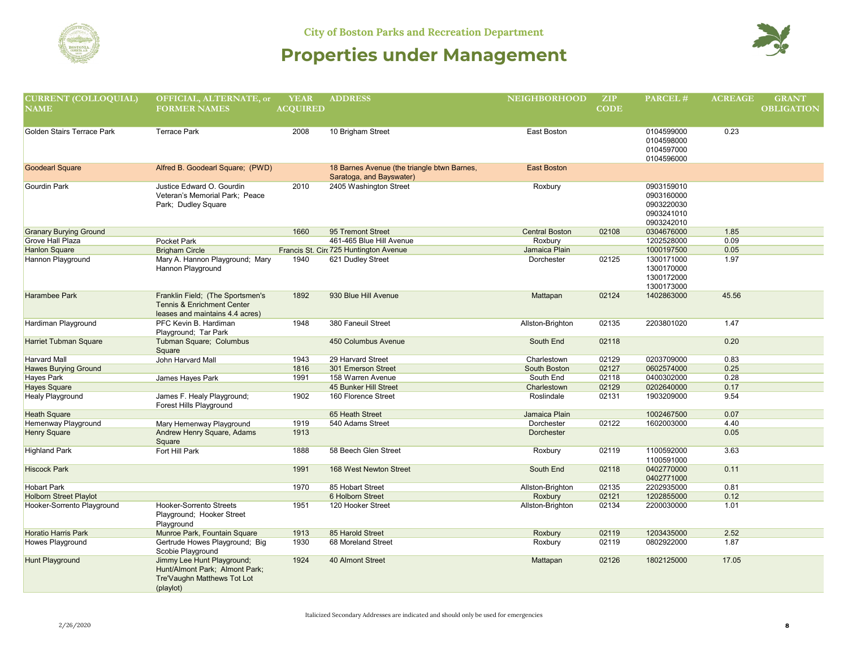

| <b>CURRENT (COLLOQUIAL)</b>   | OFFICIAL, ALTERNATE, or                               | <b>YEAR</b>     | <b>ADDRESS</b>                              | <b>NEIGHBORHOOD</b>   | ZIP         | PARCEL#                  | <b>ACREAGE</b> | <b>GRANT</b>      |
|-------------------------------|-------------------------------------------------------|-----------------|---------------------------------------------|-----------------------|-------------|--------------------------|----------------|-------------------|
| $\overline{\mathbf{NAME}}$    | <b>FORMER NAMES</b>                                   | <b>ACOUIRED</b> |                                             |                       | <b>CODE</b> |                          |                | <b>OBLIGATION</b> |
|                               |                                                       |                 |                                             |                       |             |                          |                |                   |
|                               |                                                       |                 |                                             |                       |             |                          |                |                   |
| Golden Stairs Terrace Park    | <b>Terrace Park</b>                                   | 2008            | 10 Brigham Street                           | East Boston           |             | 0104599000               | 0.23           |                   |
|                               |                                                       |                 |                                             |                       |             | 0104598000               |                |                   |
|                               |                                                       |                 |                                             |                       |             | 0104597000<br>0104596000 |                |                   |
| <b>Goodearl Square</b>        | Alfred B. Goodearl Square; (PWD)                      |                 | 18 Barnes Avenue (the triangle btwn Barnes, | <b>East Boston</b>    |             |                          |                |                   |
|                               |                                                       |                 | Saratoga, and Bayswater)                    |                       |             |                          |                |                   |
| <b>Gourdin Park</b>           | Justice Edward O. Gourdin                             | 2010            | 2405 Washington Street                      | Roxbury               |             | 0903159010               |                |                   |
|                               | Veteran's Memorial Park; Peace                        |                 |                                             |                       |             | 0903160000               |                |                   |
|                               | Park; Dudley Square                                   |                 |                                             |                       |             | 0903220030               |                |                   |
|                               |                                                       |                 |                                             |                       |             | 0903241010               |                |                   |
|                               |                                                       |                 |                                             |                       |             | 0903242010               |                |                   |
| <b>Granary Burying Ground</b> |                                                       | 1660            | 95 Tremont Street                           | <b>Central Boston</b> | 02108       | 0304676000               | 1.85           |                   |
| Grove Hall Plaza              | Pocket Park                                           |                 | 461-465 Blue Hill Avenue                    | Roxbury               |             | 1202528000               | 0.09           |                   |
| <b>Hanlon Square</b>          | <b>Brigham Circle</b>                                 |                 | Francis St. Circ 725 Huntington Avenue      | Jamaica Plain         |             | 1000197500               | 0.05           |                   |
| Hannon Playground             | Mary A. Hannon Playground; Mary                       | 1940            | 621 Dudley Street                           | Dorchester            | 02125       | 1300171000               | 1.97           |                   |
|                               | Hannon Playground                                     |                 |                                             |                       |             | 1300170000               |                |                   |
|                               |                                                       |                 |                                             |                       |             | 1300172000               |                |                   |
|                               |                                                       |                 |                                             |                       |             | 1300173000               |                |                   |
| <b>Harambee Park</b>          | Franklin Field; (The Sportsmen's                      | 1892            | 930 Blue Hill Avenue                        | Mattapan              | 02124       | 1402863000               | 45.56          |                   |
|                               | <b>Tennis &amp; Enrichment Center</b>                 |                 |                                             |                       |             |                          |                |                   |
|                               | leases and maintains 4.4 acres)                       |                 |                                             |                       |             |                          |                |                   |
| Hardiman Playground           | PFC Kevin B. Hardiman                                 | 1948            | 380 Faneuil Street                          | Allston-Brighton      | 02135       | 2203801020               | 1.47           |                   |
|                               | Playground; Tar Park                                  |                 |                                             |                       |             |                          |                |                   |
| <b>Harriet Tubman Square</b>  | Tubman Square; Columbus                               |                 | 450 Columbus Avenue                         | South End             | 02118       |                          | 0.20           |                   |
|                               | Square                                                |                 |                                             |                       |             |                          |                |                   |
| <b>Harvard Mall</b>           | John Harvard Mall                                     | 1943            | 29 Harvard Street                           | Charlestown           | 02129       | 0203709000               | 0.83           |                   |
| <b>Hawes Burying Ground</b>   |                                                       | 1816            | 301 Emerson Street                          | South Boston          | 02127       | 0602574000               | 0.25           |                   |
| Hayes Park                    | James Hayes Park                                      | 1991            | 158 Warren Avenue                           | South End             | 02118       | 0400302000               | 0.28           |                   |
| <b>Hayes Square</b>           |                                                       |                 | 45 Bunker Hill Street                       | Charlestown           | 02129       | 0202640000               | 0.17           |                   |
| <b>Healy Playground</b>       | James F. Healy Playground;<br>Forest Hills Playground | 1902            | 160 Florence Street                         | Roslindale            | 02131       | 1903209000               | 9.54           |                   |
| <b>Heath Square</b>           |                                                       |                 | 65 Heath Street                             | Jamaica Plain         |             | 1002467500               | 0.07           |                   |
| Hemenway Playground           | Mary Hemenway Playground                              | 1919            | 540 Adams Street                            | Dorchester            | 02122       | 1602003000               | 4.40           |                   |
| <b>Henry Square</b>           | Andrew Henry Square, Adams                            | 1913            |                                             | Dorchester            |             |                          | 0.05           |                   |
|                               | Square                                                |                 |                                             |                       |             |                          |                |                   |
| <b>Highland Park</b>          | Fort Hill Park                                        | 1888            | 58 Beech Glen Street                        | Roxbury               | 02119       | 1100592000               | 3.63           |                   |
|                               |                                                       |                 |                                             |                       |             | 1100591000               |                |                   |
| <b>Hiscock Park</b>           |                                                       | 1991            | 168 West Newton Street                      | South End             | 02118       | 0402770000<br>0402771000 | 0.11           |                   |
| <b>Hobart Park</b>            |                                                       | 1970            | 85 Hobart Street                            | Allston-Brighton      | 02135       | 2202935000               | 0.81           |                   |
| <b>Holborn Street Playlot</b> |                                                       |                 | 6 Holborn Street                            | Roxbury               | 02121       | 1202855000               | 0.12           |                   |
| Hooker-Sorrento Playground    | Hooker-Sorrento Streets                               | 1951            | 120 Hooker Street                           | Allston-Brighton      | 02134       | 2200030000               | 1.01           |                   |
|                               | Playground; Hooker Street                             |                 |                                             |                       |             |                          |                |                   |
|                               | Playground                                            |                 |                                             |                       |             |                          |                |                   |
| <b>Horatio Harris Park</b>    | Munroe Park, Fountain Square                          | 1913            | 85 Harold Street                            | Roxbury               | 02119       | 1203435000               | 2.52           |                   |
| Howes Playground              | Gertrude Howes Playground; Big                        | 1930            | 68 Moreland Street                          | Roxbury               | 02119       | 0802922000               | 1.87           |                   |
|                               | Scobie Playground                                     |                 |                                             |                       |             |                          |                |                   |
| <b>Hunt Playground</b>        | Jimmy Lee Hunt Playground;                            | 1924            | 40 Almont Street                            | Mattapan              | 02126       | 1802125000               | 17.05          |                   |
|                               | Hunt/Almont Park; Almont Park;                        |                 |                                             |                       |             |                          |                |                   |
|                               | Tre'Vaughn Matthews Tot Lot                           |                 |                                             |                       |             |                          |                |                   |
|                               | (playlot)                                             |                 |                                             |                       |             |                          |                |                   |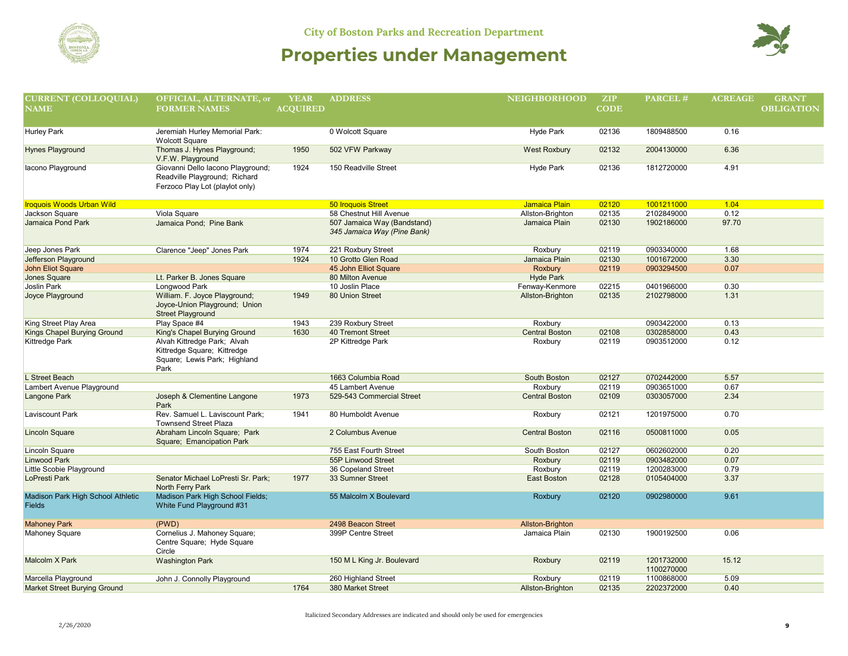



| <b>CURRENT (COLLOQUIAL)</b>                        | OFFICIAL, ALTERNATE, or                                                                               | <b>YEAR</b>     | <b>ADDRESS</b>                                             | <b>NEIGHBORHOOD</b>   | ZIP         | PARCEL#                  | <b>ACREAGE</b> | <b>GRANT</b>      |
|----------------------------------------------------|-------------------------------------------------------------------------------------------------------|-----------------|------------------------------------------------------------|-----------------------|-------------|--------------------------|----------------|-------------------|
| $\overline{\mathbf{NAME}}$                         | <b>FORMER NAMES</b>                                                                                   | <b>ACQUIRED</b> |                                                            |                       | <b>CODE</b> |                          |                | <b>OBLIGATION</b> |
|                                                    |                                                                                                       |                 |                                                            |                       |             |                          |                |                   |
| <b>Hurley Park</b>                                 | Jeremiah Hurley Memorial Park:                                                                        |                 | 0 Wolcott Square                                           | <b>Hyde Park</b>      | 02136       | 1809488500               | 0.16           |                   |
|                                                    | <b>Wolcott Square</b>                                                                                 |                 |                                                            |                       |             |                          |                |                   |
| <b>Hynes Playground</b>                            | Thomas J. Hynes Playground;<br>V.F.W. Playground                                                      | 1950            | 502 VFW Parkway                                            | <b>West Roxbury</b>   | 02132       | 2004130000               | 6.36           |                   |
| lacono Playground                                  | Giovanni Dello Iacono Playground;<br>Readville Playground; Richard<br>Ferzoco Play Lot (playlot only) | 1924            | 150 Readville Street                                       | Hyde Park             | 02136       | 1812720000               | 4.91           |                   |
| <b>Iroquois Woods Urban Wild</b>                   |                                                                                                       |                 | <b>50 Iroquois Street</b>                                  | <b>Jamaica Plain</b>  | 02120       | 1001211000               | 1.04           |                   |
| Jackson Square                                     | Viola Square                                                                                          |                 | 58 Chestnut Hill Avenue                                    | Allston-Brighton      | 02135       | 2102849000               | 0.12           |                   |
| <b>Jamaica Pond Park</b>                           | Jamaica Pond; Pine Bank                                                                               |                 | 507 Jamaica Way (Bandstand)<br>345 Jamaica Way (Pine Bank) | Jamaica Plain         | 02130       | 1902186000               | 97.70          |                   |
| Jeep Jones Park                                    | Clarence "Jeep" Jones Park                                                                            | 1974            | 221 Roxbury Street                                         | Roxbury               | 02119       | 0903340000               | 1.68           |                   |
| Jefferson Playground                               |                                                                                                       | 1924            | 10 Grotto Glen Road                                        | Jamaica Plain         | 02130       | 1001672000               | 3.30           |                   |
| John Eliot Square                                  |                                                                                                       |                 | 45 John Elliot Square                                      | Roxbury               | 02119       | 0903294500               | 0.07           |                   |
| Jones Square                                       | Lt. Parker B. Jones Square                                                                            |                 | 80 Milton Avenue                                           | <b>Hyde Park</b>      |             |                          |                |                   |
| Joslin Park                                        | Longwood Park                                                                                         |                 | 10 Joslin Place                                            | Fenway-Kenmore        | 02215       | 0401966000               | 0.30           |                   |
| Joyce Playground                                   | William. F. Joyce Playground;<br>Joyce-Union Playground; Union<br><b>Street Playground</b>            | 1949            | 80 Union Street                                            | Allston-Brighton      | 02135       | 2102798000               | 1.31           |                   |
| King Street Play Area                              | Play Space #4                                                                                         | 1943            | 239 Roxbury Street                                         | Roxbury               |             | 0903422000               | 0.13           |                   |
| Kings Chapel Burying Ground                        | King's Chapel Burying Ground                                                                          | 1630            | <b>40 Tremont Street</b>                                   | <b>Central Boston</b> | 02108       | 0302858000               | 0.43           |                   |
| Kittredge Park                                     | Alvah Kittredge Park; Alvah<br>Kittredge Square; Kittredge<br>Square; Lewis Park; Highland<br>Park    |                 | 2P Kittredge Park                                          | Roxbury               | 02119       | 0903512000               | 0.12           |                   |
| L Street Beach                                     |                                                                                                       |                 | 1663 Columbia Road                                         | South Boston          | 02127       | 0702442000               | 5.57           |                   |
| Lambert Avenue Playground                          |                                                                                                       |                 | 45 Lambert Avenue                                          | Roxbury               | 02119       | 0903651000               | 0.67           |                   |
| Langone Park                                       | Joseph & Clementine Langone<br>Park                                                                   | 1973            | 529-543 Commercial Street                                  | <b>Central Boston</b> | 02109       | 0303057000               | 2.34           |                   |
| Laviscount Park                                    | Rev. Samuel L. Laviscount Park;<br><b>Townsend Street Plaza</b>                                       | 1941            | 80 Humboldt Avenue                                         | Roxbury               | 02121       | 1201975000               | 0.70           |                   |
| <b>Lincoln Square</b>                              | Abraham Lincoln Square; Park<br>Square; Emancipation Park                                             |                 | 2 Columbus Avenue                                          | <b>Central Boston</b> | 02116       | 0500811000               | 0.05           |                   |
| Lincoln Square                                     |                                                                                                       |                 | 755 East Fourth Street                                     | South Boston          | 02127       | 0602602000               | 0.20           |                   |
| Linwood Park                                       |                                                                                                       |                 | 55P Linwood Street                                         | Roxbury               | 02119       | 0903482000               | 0.07           |                   |
| Little Scobie Playground                           |                                                                                                       |                 | 36 Copeland Street                                         | Roxbury               | 02119       | 1200283000               | 0.79           |                   |
| LoPresti Park                                      | Senator Michael LoPresti Sr. Park;<br>North Ferry Park                                                | 1977            | 33 Sumner Street                                           | <b>East Boston</b>    | 02128       | 0105404000               | 3.37           |                   |
| Madison Park High School Athletic<br><b>Fields</b> | Madison Park High School Fields;<br>White Fund Playground #31                                         |                 | 55 Malcolm X Boulevard                                     | Roxbury               | 02120       | 0902980000               | 9.61           |                   |
| <b>Mahoney Park</b>                                | (PWD)                                                                                                 |                 | 2498 Beacon Street                                         | Allston-Brighton      |             |                          |                |                   |
| <b>Mahoney Square</b>                              | Cornelius J. Mahoney Square;<br>Centre Square; Hyde Square<br>Circle                                  |                 | 399P Centre Street                                         | Jamaica Plain         | 02130       | 1900192500               | 0.06           |                   |
| Malcolm X Park                                     | <b>Washington Park</b>                                                                                |                 | 150 M L King Jr. Boulevard                                 | Roxbury               | 02119       | 1201732000<br>1100270000 | 15.12          |                   |
| Marcella Playground                                | John J. Connolly Playground                                                                           |                 | 260 Highland Street                                        | Roxbury               | 02119       | 1100868000               | 5.09           |                   |
| <b>Market Street Burying Ground</b>                |                                                                                                       | 1764            | 380 Market Street                                          | Allston-Brighton      | 02135       | 2202372000               | 0.40           |                   |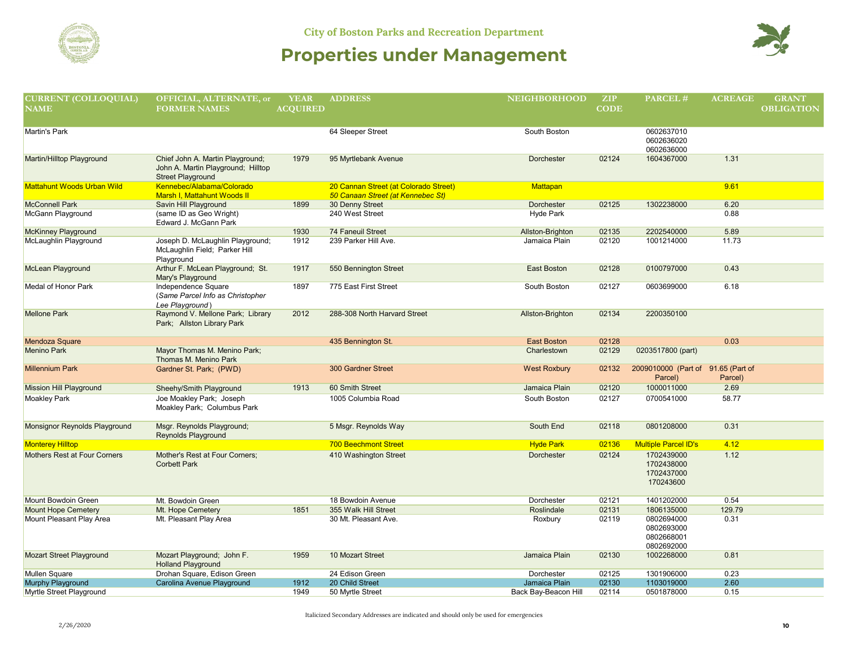

| <b>CURRENT (COLLOQUIAL)</b>         | OFFICIAL, ALTERNATE, or                             | <b>YEAR</b>     | <b>ADDRESS</b>                        | <b>NEIGHBORHOOD</b>     | <b>ZIP</b>  | PARCEL#                            | <b>ACREAGE</b> | <b>GRANT</b>      |
|-------------------------------------|-----------------------------------------------------|-----------------|---------------------------------------|-------------------------|-------------|------------------------------------|----------------|-------------------|
| <b>NAME</b>                         | <b>FORMER NAMES</b>                                 | <b>ACOUIRED</b> |                                       |                         | <b>CODE</b> |                                    |                | <b>OBLIGATION</b> |
|                                     |                                                     |                 |                                       |                         |             |                                    |                |                   |
| <b>Martin's Park</b>                |                                                     |                 | 64 Sleeper Street                     | South Boston            |             | 0602637010                         |                |                   |
|                                     |                                                     |                 |                                       |                         |             | 0602636020                         |                |                   |
|                                     |                                                     |                 |                                       |                         |             | 0602636000                         |                |                   |
| Martin/Hilltop Playground           | Chief John A. Martin Playground;                    | 1979            | 95 Myrtlebank Avenue                  | <b>Dorchester</b>       | 02124       | 1604367000                         | 1.31           |                   |
|                                     | John A. Martin Playground; Hilltop                  |                 |                                       |                         |             |                                    |                |                   |
|                                     | <b>Street Playground</b>                            |                 |                                       |                         |             |                                    |                |                   |
| <b>Mattahunt Woods Urban Wild</b>   | Kennebec/Alabama/Colorado                           |                 | 20 Cannan Street (at Colorado Street) | <b>Mattapan</b>         |             |                                    | 9.61           |                   |
| <b>McConnell Park</b>               | Marsh I, Mattahunt Woods II                         |                 | 50 Canaan Street (at Kennebec St)     |                         | 02125       | 1302238000                         |                |                   |
| McGann Playground                   | Savin Hill Playground<br>(same ID as Geo Wright)    | 1899            | 30 Denny Street<br>240 West Street    | Dorchester<br>Hyde Park |             |                                    | 6.20<br>0.88   |                   |
|                                     | Edward J. McGann Park                               |                 |                                       |                         |             |                                    |                |                   |
| <b>McKinney Playground</b>          |                                                     | 1930            | 74 Faneuil Street                     | Allston-Brighton        | 02135       | 2202540000                         | 5.89           |                   |
| McLaughlin Playground               | Joseph D. McLaughlin Playground;                    | 1912            | 239 Parker Hill Ave.                  | Jamaica Plain           | 02120       | 1001214000                         | 11.73          |                   |
|                                     | McLaughlin Field; Parker Hill                       |                 |                                       |                         |             |                                    |                |                   |
|                                     | Playground                                          |                 |                                       |                         |             |                                    |                |                   |
| McLean Playground                   | Arthur F. McLean Playground; St.                    | 1917            | 550 Bennington Street                 | <b>East Boston</b>      | 02128       | 0100797000                         | 0.43           |                   |
|                                     | Mary's Playground                                   |                 |                                       |                         |             |                                    |                |                   |
| Medal of Honor Park                 | Independence Square                                 | 1897            | 775 East First Street                 | South Boston            | 02127       | 0603699000                         | 6.18           |                   |
|                                     | (Same Parcel Info as Christopher                    |                 |                                       |                         |             |                                    |                |                   |
| <b>Mellone Park</b>                 | Lee Playground)<br>Raymond V. Mellone Park; Library | 2012            | 288-308 North Harvard Street          |                         | 02134       | 2200350100                         |                |                   |
|                                     | Park; Allston Library Park                          |                 |                                       | Allston-Brighton        |             |                                    |                |                   |
|                                     |                                                     |                 |                                       |                         |             |                                    |                |                   |
| Mendoza Square                      |                                                     |                 | 435 Bennington St.                    | <b>East Boston</b>      | 02128       |                                    | 0.03           |                   |
| <b>Menino Park</b>                  | Mayor Thomas M. Menino Park;                        |                 |                                       | Charlestown             | 02129       | 0203517800 (part)                  |                |                   |
|                                     | Thomas M. Menino Park                               |                 |                                       |                         |             |                                    |                |                   |
| <b>Millennium Park</b>              | Gardner St. Park; (PWD)                             |                 | <b>300 Gardner Street</b>             | <b>West Roxbury</b>     | 02132       | 2009010000 (Part of 91.65 (Part of |                |                   |
|                                     |                                                     |                 |                                       |                         |             | Parcel)                            | Parcel)        |                   |
| <b>Mission Hill Playground</b>      | Sheehy/Smith Playground                             | 1913            | 60 Smith Street                       | Jamaica Plain           | 02120       | 1000011000                         | 2.69           |                   |
| <b>Moakley Park</b>                 | Joe Moakley Park; Joseph                            |                 | 1005 Columbia Road                    | South Boston            | 02127       | 0700541000                         | 58.77          |                   |
|                                     | Moakley Park; Columbus Park                         |                 |                                       |                         |             |                                    |                |                   |
| Monsignor Reynolds Playground       | Msgr. Reynolds Playground;                          |                 | 5 Msgr. Reynolds Way                  | South End               | 02118       | 0801208000                         | 0.31           |                   |
|                                     | <b>Reynolds Playground</b>                          |                 |                                       |                         |             |                                    |                |                   |
| <b>Monterey Hilltop</b>             |                                                     |                 | <b>700 Beechmont Street</b>           | <b>Hyde Park</b>        | 02136       | <b>Multiple Parcel ID's</b>        | 4.12           |                   |
| <b>Mothers Rest at Four Corners</b> | Mother's Rest at Four Corners;                      |                 | 410 Washington Street                 | Dorchester              | 02124       | 1702439000                         | 1.12           |                   |
|                                     | <b>Corbett Park</b>                                 |                 |                                       |                         |             | 1702438000                         |                |                   |
|                                     |                                                     |                 |                                       |                         |             | 1702437000                         |                |                   |
|                                     |                                                     |                 |                                       |                         |             | 170243600                          |                |                   |
|                                     |                                                     |                 |                                       |                         |             |                                    |                |                   |
| Mount Bowdoin Green                 | Mt. Bowdoin Green                                   |                 | 18 Bowdoin Avenue                     | Dorchester              | 02121       | 1401202000                         | 0.54           |                   |
| <b>Mount Hope Cemetery</b>          | Mt. Hope Cemetery                                   | 1851            | 355 Walk Hill Street                  | Roslindale              | 02131       | 1806135000                         | 129.79         |                   |
| Mount Pleasant Play Area            | Mt. Pleasant Play Area                              |                 | 30 Mt. Pleasant Ave.                  | Roxbury                 | 02119       | 0802694000                         | 0.31           |                   |
|                                     |                                                     |                 |                                       |                         |             | 0802693000<br>0802668001           |                |                   |
|                                     |                                                     |                 |                                       |                         |             | 0802692000                         |                |                   |
| <b>Mozart Street Playground</b>     | Mozart Playground; John F.                          | 1959            | 10 Mozart Street                      | Jamaica Plain           | 02130       | 1002268000                         | 0.81           |                   |
|                                     | <b>Holland Playground</b>                           |                 |                                       |                         |             |                                    |                |                   |
| <b>Mullen Square</b>                | Drohan Square, Edison Green                         |                 | 24 Edison Green                       | Dorchester              | 02125       | 1301906000                         | 0.23           |                   |
| <b>Murphy Playground</b>            | Carolina Avenue Playground                          | 1912            | 20 Child Street                       | Jamaica Plain           | 02130       | 1103019000                         | 2.60           |                   |
| Myrtle Street Playground            |                                                     | 1949            | 50 Myrtle Street                      | Back Bay-Beacon Hill    | 02114       | 0501878000                         | 0.15           |                   |
|                                     |                                                     |                 |                                       |                         |             |                                    |                |                   |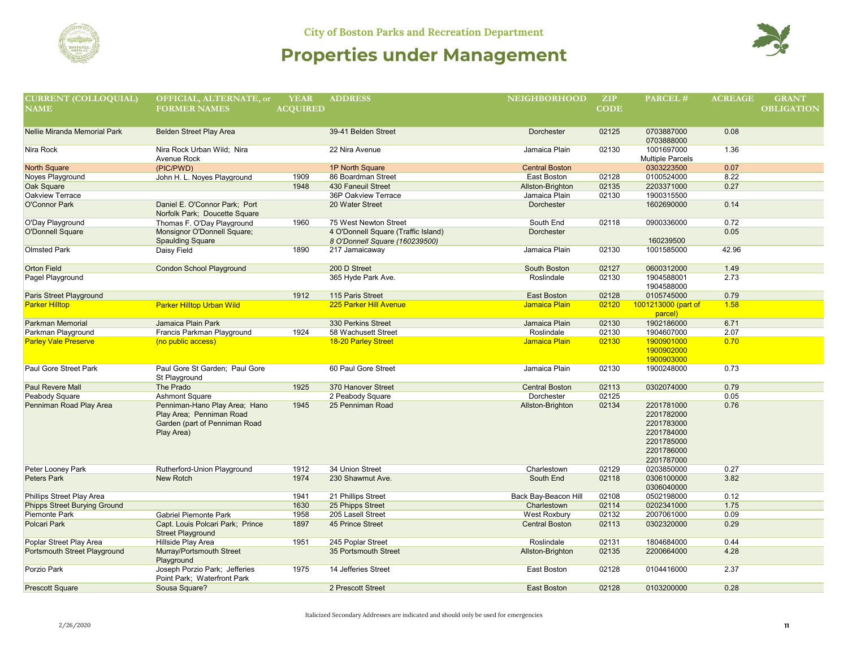

| <b>CURRENT (COLLOQUIAL)</b>                                                            | OFFICIAL, ALTERNATE, or                          | <b>YEAR</b>     | <b>ADDRESS</b>                             | <b>NEIGHBORHOOD</b>         | <b>ZIP</b>     | PARCEL#                  | <b>ACREAGE</b> | <b>GRANT</b>      |
|----------------------------------------------------------------------------------------|--------------------------------------------------|-----------------|--------------------------------------------|-----------------------------|----------------|--------------------------|----------------|-------------------|
| $\overline{\mathbf{N}}\overline{\mathbf{A}}\overline{\mathbf{M}}\overline{\mathbf{E}}$ | <b>FORMER NAMES</b>                              | <b>ACOUIRED</b> |                                            |                             | <b>CODE</b>    |                          |                | <b>OBLIGATION</b> |
|                                                                                        |                                                  |                 |                                            |                             |                |                          |                |                   |
|                                                                                        |                                                  |                 |                                            |                             |                |                          |                |                   |
| Nellie Miranda Memorial Park                                                           | <b>Belden Street Play Area</b>                   |                 | 39-41 Belden Street                        | Dorchester                  | 02125          | 0703887000<br>0703888000 | 0.08           |                   |
| Nira Rock                                                                              | Nira Rock Urban Wild; Nira                       |                 | 22 Nira Avenue                             | Jamaica Plain               | 02130          | 1001697000               | 1.36           |                   |
|                                                                                        | Avenue Rock                                      |                 |                                            |                             |                | Multiple Parcels         |                |                   |
| <b>North Square</b>                                                                    | (PIC/PWD)                                        |                 | 1P North Square                            | <b>Central Boston</b>       |                | 0303223500               | 0.07           |                   |
| Noyes Playground                                                                       | John H. L. Noyes Playground                      | 1909            | 86 Boardman Street                         | East Boston                 | 02128          | 0100524000               | 8.22           |                   |
| Oak Square                                                                             |                                                  | 1948            | 430 Faneuil Street                         | Allston-Brighton            | 02135          | 2203371000               | 0.27           |                   |
| Oakview Terrace                                                                        |                                                  |                 | 36P Oakview Terrace                        | Jamaica Plain               | 02130          | 1900315500               |                |                   |
| O'Connor Park                                                                          | Daniel E. O'Connor Park; Port                    |                 | 20 Water Street                            | Dorchester                  |                | 1602690000               | 0.14           |                   |
|                                                                                        | Norfolk Park; Doucette Square                    |                 |                                            |                             |                |                          |                |                   |
| O'Day Playground                                                                       | Thomas F. O'Day Playground                       | 1960            | 75 West Newton Street                      | South End                   | 02118          | 0900336000               | 0.72           |                   |
| <b>O'Donnell Square</b>                                                                | Monsignor O'Donnell Square;                      |                 | 4 O'Donnell Square (Traffic Island)        | <b>Dorchester</b>           |                |                          | 0.05           |                   |
|                                                                                        | <b>Spaulding Square</b>                          |                 | 8 O'Donnell Square (160239500)             |                             |                | 160239500                |                |                   |
| <b>Olmsted Park</b>                                                                    | Daisy Field                                      | 1890            | 217 Jamaicaway                             | Jamaica Plain               | 02130          | 1001585000               | 42.96          |                   |
|                                                                                        |                                                  |                 |                                            |                             |                |                          |                |                   |
| <b>Orton Field</b>                                                                     | <b>Condon School Playground</b>                  |                 | 200 D Street                               | South Boston                | 02127          | 0600312000               | 1.49           |                   |
| Pagel Playground                                                                       |                                                  |                 | 365 Hyde Park Ave.                         | Roslindale                  | 02130          | 1904588001               | 2.73           |                   |
|                                                                                        |                                                  |                 |                                            |                             |                | 1904588000               |                |                   |
| Paris Street Playground                                                                |                                                  | 1912            | 115 Paris Street                           | East Boston                 | 02128          | 0105745000               | 0.79           |                   |
| <b>Parker Hilltop</b>                                                                  | <b>Parker Hilltop Urban Wild</b>                 |                 | <b>225 Parker Hill Avenue</b>              | Jamaica Plain               | 02120          | 1001213000 (part of      | 1.58           |                   |
|                                                                                        |                                                  |                 |                                            |                             |                | parcel)                  |                |                   |
| <b>Parkman Memorial</b>                                                                | Jamaica Plain Park                               | 1924            | 330 Perkins Street                         | Jamaica Plain               | 02130          | 1902186000               | 6.71<br>2.07   |                   |
| Parkman Playground<br><b>Parley Vale Preserve</b>                                      | Francis Parkman Playground<br>(no public access) |                 | 58 Wachusett Street<br>18-20 Parley Street | Roslindale<br>Jamaica Plain | 02130<br>02130 | 1904607000<br>1900901000 | 0.70           |                   |
|                                                                                        |                                                  |                 |                                            |                             |                | 1900902000               |                |                   |
|                                                                                        |                                                  |                 |                                            |                             |                | 1900903000               |                |                   |
| Paul Gore Street Park                                                                  | Paul Gore St Garden; Paul Gore                   |                 | 60 Paul Gore Street                        | Jamaica Plain               | 02130          | 1900248000               | 0.73           |                   |
|                                                                                        | St Playground                                    |                 |                                            |                             |                |                          |                |                   |
| <b>Paul Revere Mall</b>                                                                | The Prado                                        | 1925            | 370 Hanover Street                         | <b>Central Boston</b>       | 02113          | 0302074000               | 0.79           |                   |
| Peabody Square                                                                         | Ashmont Square                                   |                 | 2 Peabody Square                           | Dorchester                  | 02125          |                          | 0.05           |                   |
| Penniman Road Play Area                                                                | Penniman-Hano Play Area; Hano                    | 1945            | 25 Penniman Road                           | Allston-Brighton            | 02134          | 2201781000               | 0.76           |                   |
|                                                                                        | Play Area; Penniman Road                         |                 |                                            |                             |                | 2201782000               |                |                   |
|                                                                                        | Garden (part of Penniman Road                    |                 |                                            |                             |                | 2201783000               |                |                   |
|                                                                                        | Play Area)                                       |                 |                                            |                             |                | 2201784000               |                |                   |
|                                                                                        |                                                  |                 |                                            |                             |                | 2201785000               |                |                   |
|                                                                                        |                                                  |                 |                                            |                             |                | 2201786000               |                |                   |
|                                                                                        |                                                  |                 |                                            |                             |                | 2201787000               |                |                   |
| Peter Looney Park                                                                      | Rutherford-Union Playground                      | 1912            | 34 Union Street                            | Charlestown                 | 02129          | 0203850000               | 0.27           |                   |
| Peters Park                                                                            | <b>New Rotch</b>                                 | 1974            | 230 Shawmut Ave.                           | South End                   | 02118          | 0306100000               | 3.82           |                   |
|                                                                                        |                                                  |                 |                                            |                             |                | 0306040000               |                |                   |
| Phillips Street Play Area                                                              |                                                  | 1941            | 21 Phillips Street                         | Back Bay-Beacon Hill        | 02108          | 0502198000               | 0.12           |                   |
| <b>Phipps Street Burying Ground</b>                                                    |                                                  | 1630            | 25 Phipps Street                           | Charlestown                 | 02114          | 0202341000               | 1.75           |                   |
| Piemonte Park                                                                          | Gabriel Piemonte Park                            | 1958            | 205 Lasell Street                          | West Roxbury                | 02132          | 2007061000               | 0.09           |                   |
| Polcari Park                                                                           | Capt. Louis Polcari Park; Prince                 | 1897            | 45 Prince Street                           | <b>Central Boston</b>       | 02113          | 0302320000               | 0.29           |                   |
|                                                                                        | <b>Street Playground</b>                         |                 |                                            |                             |                |                          |                |                   |
| Poplar Street Play Area<br>Portsmouth Street Playground                                | Hillside Play Area<br>Murray/Portsmouth Street   | 1951            | 245 Poplar Street<br>35 Portsmouth Street  | Roslindale                  | 02131<br>02135 | 1804684000<br>2200664000 | 0.44<br>4.28   |                   |
|                                                                                        | Playground                                       |                 |                                            | Allston-Brighton            |                |                          |                |                   |
| Porzio Park                                                                            | Joseph Porzio Park; Jefferies                    | 1975            | 14 Jefferies Street                        | East Boston                 | 02128          | 0104416000               | 2.37           |                   |
|                                                                                        | Point Park; Waterfront Park                      |                 |                                            |                             |                |                          |                |                   |
| <b>Prescott Square</b>                                                                 | Sousa Square?                                    |                 | 2 Prescott Street                          | <b>East Boston</b>          | 02128          | 0103200000               | 0.28           |                   |
|                                                                                        |                                                  |                 |                                            |                             |                |                          |                |                   |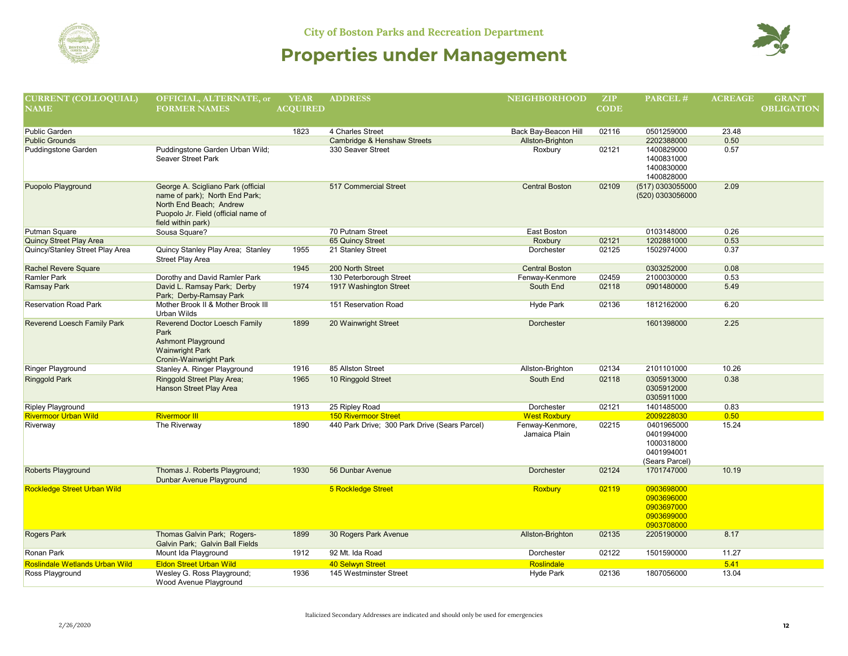



| <b>CURRENT (COLLOQUIAL)</b>        | OFFICIAL, ALTERNATE, or                                        | <b>YEAR</b>     | <b>ADDRESS</b>                                | <b>NEIGHBORHOOD</b>   | ZIP         | PARCEL#          | <b>ACREAGE</b> | <b>GRANT</b>      |
|------------------------------------|----------------------------------------------------------------|-----------------|-----------------------------------------------|-----------------------|-------------|------------------|----------------|-------------------|
| <b>NAME</b>                        | <b>FORMER NAMES</b>                                            | <b>ACOUIRED</b> |                                               |                       | <b>CODE</b> |                  |                | <b>OBLIGATION</b> |
|                                    |                                                                |                 |                                               |                       |             |                  |                |                   |
| Public Garden                      |                                                                | 1823            | 4 Charles Street                              | Back Bay-Beacon Hill  | 02116       | 0501259000       | 23.48          |                   |
| <b>Public Grounds</b>              |                                                                |                 | Cambridge & Henshaw Streets                   | Allston-Brighton      |             | 2202388000       | 0.50           |                   |
| Puddingstone Garden                | Puddingstone Garden Urban Wild;                                |                 | 330 Seaver Street                             | Roxbury               | 02121       | 1400829000       | 0.57           |                   |
|                                    | Seaver Street Park                                             |                 |                                               |                       |             | 1400831000       |                |                   |
|                                    |                                                                |                 |                                               |                       |             | 1400830000       |                |                   |
|                                    |                                                                |                 |                                               |                       |             | 1400828000       |                |                   |
| Puopolo Playground                 | George A. Scigliano Park (official                             |                 | 517 Commercial Street                         | <b>Central Boston</b> | 02109       | (517) 0303055000 | 2.09           |                   |
|                                    | name of park); North End Park;<br>North End Beach; Andrew      |                 |                                               |                       |             | (520) 0303056000 |                |                   |
|                                    | Puopolo Jr. Field (official name of                            |                 |                                               |                       |             |                  |                |                   |
|                                    | field within park)                                             |                 |                                               |                       |             |                  |                |                   |
| Putman Square                      | Sousa Square?                                                  |                 | 70 Putnam Street                              | East Boston           |             | 0103148000       | 0.26           |                   |
| <b>Quincy Street Play Area</b>     |                                                                |                 | 65 Quincy Street                              | Roxbury               | 02121       | 1202881000       | 0.53           |                   |
| Quincy/Stanley Street Play Area    | Quincy Stanley Play Area; Stanley                              | 1955            | 21 Stanley Street                             | Dorchester            | 02125       | 1502974000       | 0.37           |                   |
|                                    | Street Play Area                                               |                 |                                               |                       |             |                  |                |                   |
| Rachel Revere Square               |                                                                | 1945            | 200 North Street                              | <b>Central Boston</b> |             | 0303252000       | 0.08           |                   |
| <b>Ramler Park</b>                 | Dorothy and David Ramler Park                                  |                 | 130 Peterborough Street                       | Fenway-Kenmore        | 02459       | 2100030000       | 0.53           |                   |
| <b>Ramsay Park</b>                 | David L. Ramsay Park; Derby                                    | 1974            | 1917 Washington Street                        | South End             | 02118       | 0901480000       | 5.49           |                   |
|                                    | Park; Derby-Ramsay Park                                        |                 |                                               |                       |             |                  |                |                   |
| <b>Reservation Road Park</b>       | Mother Brook II & Mother Brook III<br>Urban Wilds              |                 | 151 Reservation Road                          | Hyde Park             | 02136       | 1812162000       | 6.20           |                   |
| Reverend Loesch Family Park        | Reverend Doctor Loesch Family                                  | 1899            | 20 Wainwright Street                          | <b>Dorchester</b>     |             | 1601398000       | 2.25           |                   |
|                                    | Park                                                           |                 |                                               |                       |             |                  |                |                   |
|                                    | <b>Ashmont Playground</b>                                      |                 |                                               |                       |             |                  |                |                   |
|                                    | <b>Wainwright Park</b>                                         |                 |                                               |                       |             |                  |                |                   |
| Ringer Playground                  | Cronin-Wainwright Park<br>Stanley A. Ringer Playground         | 1916            | 85 Allston Street                             | Allston-Brighton      | 02134       | 2101101000       | 10.26          |                   |
| <b>Ringgold Park</b>               | Ringgold Street Play Area;                                     | 1965            | 10 Ringgold Street                            | South End             | 02118       | 0305913000       | 0.38           |                   |
|                                    | Hanson Street Play Area                                        |                 |                                               |                       |             | 0305912000       |                |                   |
|                                    |                                                                |                 |                                               |                       |             | 0305911000       |                |                   |
| <b>Ripley Playground</b>           |                                                                | 1913            | 25 Ripley Road                                | Dorchester            | 02121       | 1401485000       | 0.83           |                   |
| <b>Rivermoor Urban Wild</b>        | <b>Rivermoor III</b>                                           |                 | <b>150 Rivermoor Street</b>                   | <b>West Roxbury</b>   |             | 2009228030       | 0.50           |                   |
| Riverway                           | The Riverway                                                   | 1890            | 440 Park Drive; 300 Park Drive (Sears Parcel) | Fenway-Kenmore,       | 02215       | 0401965000       | 15.24          |                   |
|                                    |                                                                |                 |                                               | Jamaica Plain         |             | 0401994000       |                |                   |
|                                    |                                                                |                 |                                               |                       |             | 1000318000       |                |                   |
|                                    |                                                                |                 |                                               |                       |             | 0401994001       |                |                   |
|                                    |                                                                |                 |                                               |                       |             | (Sears Parcel)   |                |                   |
| <b>Roberts Playground</b>          | Thomas J. Roberts Playground;<br>Dunbar Avenue Playground      | 1930            | 56 Dunbar Avenue                              | Dorchester            | 02124       | 1701747000       | 10.19          |                   |
| <b>Rockledge Street Urban Wild</b> |                                                                |                 | 5 Rockledge Street                            | <b>Roxbury</b>        | 02119       | 0903698000       |                |                   |
|                                    |                                                                |                 |                                               |                       |             | 0903696000       |                |                   |
|                                    |                                                                |                 |                                               |                       |             | 0903697000       |                |                   |
|                                    |                                                                |                 |                                               |                       |             | 0903699000       |                |                   |
|                                    |                                                                |                 |                                               |                       |             | 0903708000       |                |                   |
| <b>Rogers Park</b>                 | Thomas Galvin Park; Rogers-<br>Galvin Park; Galvin Ball Fields | 1899            | 30 Rogers Park Avenue                         | Allston-Brighton      | 02135       | 2205190000       | 8.17           |                   |
| Ronan Park                         | Mount Ida Playground                                           | 1912            | 92 Mt. Ida Road                               | Dorchester            | 02122       | 1501590000       | 11.27          |                   |
| Roslindale Wetlands Urban Wild     | <b>Eldon Street Urban Wild</b>                                 |                 | 40 Selwyn Street                              | Roslindale            |             |                  | 5.41           |                   |
| Ross Playground                    | Wesley G. Ross Playground;                                     | 1936            | 145 Westminster Street                        | Hyde Park             | 02136       | 1807056000       | 13.04          |                   |
|                                    | Wood Avenue Playground                                         |                 |                                               |                       |             |                  |                |                   |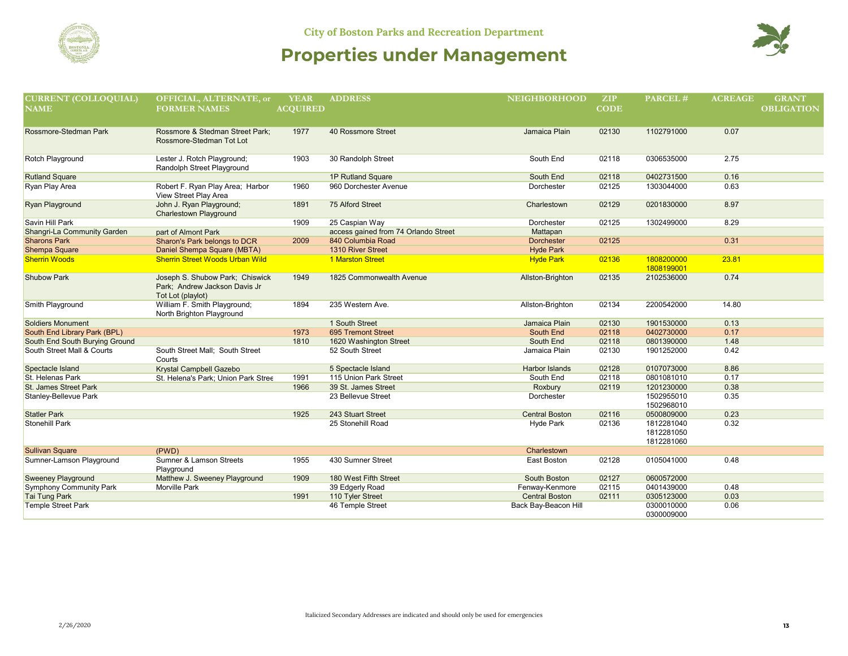



| <b>CURRENT (COLLOQUIAL)</b>    | OFFICIAL, ALTERNATE, or                                                               | <b>YEAR</b>     | <b>ADDRESS</b>                       | <b>NEIGHBORHOOD</b>   | ZIP         | PARCEL#                                | <b>ACREAGE</b> | <b>GRANT</b>      |
|--------------------------------|---------------------------------------------------------------------------------------|-----------------|--------------------------------------|-----------------------|-------------|----------------------------------------|----------------|-------------------|
| <b>NAME</b>                    | <b>FORMER NAMES</b>                                                                   | <b>ACQUIRED</b> |                                      |                       | <b>CODE</b> |                                        |                | <b>OBLIGATION</b> |
| Rossmore-Stedman Park          | Rossmore & Stedman Street Park:<br>Rossmore-Stedman Tot Lot                           | 1977            | 40 Rossmore Street                   | Jamaica Plain         | 02130       | 1102791000                             | 0.07           |                   |
| <b>Rotch Playground</b>        | Lester J. Rotch Playground;<br>Randolph Street Playground                             | 1903            | 30 Randolph Street                   | South End             | 02118       | 0306535000                             | 2.75           |                   |
| <b>Rutland Square</b>          |                                                                                       |                 | 1P Rutland Square                    | South End             | 02118       | 0402731500                             | 0.16           |                   |
| Ryan Play Area                 | Robert F. Ryan Play Area; Harbor<br>View Street Play Area                             | 1960            | 960 Dorchester Avenue                | Dorchester            | 02125       | 1303044000                             | 0.63           |                   |
| <b>Ryan Playground</b>         | John J. Ryan Playground;<br><b>Charlestown Playground</b>                             | 1891            | 75 Alford Street                     | Charlestown           | 02129       | 0201830000                             | 8.97           |                   |
| Savin Hill Park                |                                                                                       | 1909            | 25 Caspian Way                       | Dorchester            | 02125       | 1302499000                             | 8.29           |                   |
| Shangri-La Community Garden    | part of Almont Park                                                                   |                 | access gained from 74 Orlando Street | Mattapan              |             |                                        |                |                   |
| <b>Sharons Park</b>            | Sharon's Park belongs to DCR                                                          | 2009            | 840 Columbia Road                    | <b>Dorchester</b>     | 02125       |                                        | 0.31           |                   |
| <b>Shempa Square</b>           | Daniel Shempa Square (MBTA)                                                           |                 | 1310 River Street                    | <b>Hyde Park</b>      |             |                                        |                |                   |
| <b>Sherrin Woods</b>           | <b>Sherrin Street Woods Urban Wild</b>                                                |                 | <b>1 Marston Street</b>              | <b>Hyde Park</b>      | 02136       | 1808200000<br>1808199001               | 23.81          |                   |
| <b>Shubow Park</b>             | Joseph S. Shubow Park; Chiswick<br>Park: Andrew Jackson Davis Jr<br>Tot Lot (playlot) | 1949            | 1825 Commonwealth Avenue             | Allston-Brighton      | 02135       | 2102536000                             | 0.74           |                   |
| Smith Playground               | William F. Smith Playground;<br>North Brighton Playground                             | 1894            | 235 Western Ave.                     | Allston-Brighton      | 02134       | 2200542000                             | 14.80          |                   |
| <b>Soldiers Monument</b>       |                                                                                       |                 | 1 South Street                       | Jamaica Plain         | 02130       | 1901530000                             | 0.13           |                   |
| South End Library Park (BPL)   |                                                                                       | 1973            | 695 Tremont Street                   | South End             | 02118       | 0402730000                             | 0.17           |                   |
| South End South Burying Ground |                                                                                       | 1810            | 1620 Washington Street               | South End             | 02118       | 0801390000                             | 1.48           |                   |
| South Street Mall & Courts     | South Street Mall; South Street<br>Courts                                             |                 | 52 South Street                      | Jamaica Plain         | 02130       | 1901252000                             | 0.42           |                   |
| Spectacle Island               | Krystal Campbell Gazebo                                                               |                 | 5 Spectacle Island                   | <b>Harbor Islands</b> | 02128       | 0107073000                             | 8.86           |                   |
| St. Helenas Park               | St. Helena's Park; Union Park Stree                                                   | 1991            | 115 Union Park Street                | South End             | 02118       | 0801081010                             | 0.17           |                   |
| St. James Street Park          |                                                                                       | 1966            | 39 St. James Street                  | Roxbury               | 02119       | 1201230000                             | 0.38           |                   |
| Stanley-Bellevue Park          |                                                                                       |                 | 23 Bellevue Street                   | Dorchester            |             | 1502955010<br>1502968010               | 0.35           |                   |
| <b>Statler Park</b>            |                                                                                       | 1925            | 243 Stuart Street                    | <b>Central Boston</b> | 02116       | 0500809000                             | 0.23           |                   |
| <b>Stonehill Park</b>          |                                                                                       |                 | 25 Stonehill Road                    | Hyde Park             | 02136       | 1812281040<br>1812281050<br>1812281060 | 0.32           |                   |
| <b>Sullivan Square</b>         | (PWD)                                                                                 |                 |                                      | Charlestown           |             |                                        |                |                   |
| Sumner-Lamson Playground       | <b>Sumner &amp; Lamson Streets</b><br>Playground                                      | 1955            | 430 Sumner Street                    | East Boston           | 02128       | 0105041000                             | 0.48           |                   |
| <b>Sweeney Playground</b>      | Matthew J. Sweeney Playground                                                         | 1909            | 180 West Fifth Street                | South Boston          | 02127       | 0600572000                             |                |                   |
| <b>Symphony Community Park</b> | <b>Morville Park</b>                                                                  |                 | 39 Edgerly Road                      | Fenway-Kenmore        | 02115       | 0401439000                             | 0.48           |                   |
| <b>Tai Tung Park</b>           |                                                                                       | 1991            | 110 Tyler Street                     | <b>Central Boston</b> | 02111       | 0305123000                             | 0.03           |                   |
| <b>Temple Street Park</b>      |                                                                                       |                 | 46 Temple Street                     | Back Bay-Beacon Hill  |             | 0300010000<br>0300009000               | 0.06           |                   |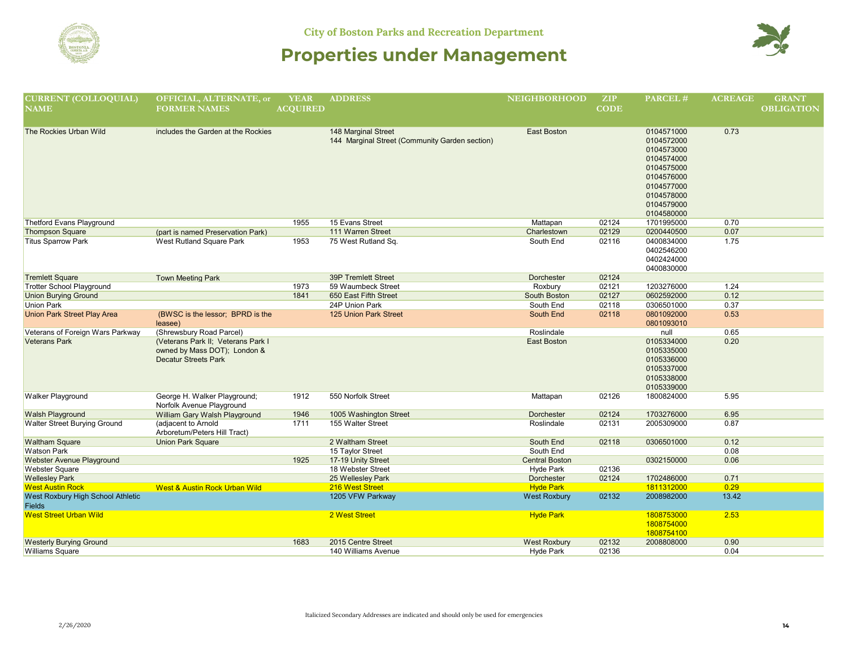



| <b>CURRENT (COLLOQUIAL)</b><br><b>NAME</b>         | OFFICIAL, ALTERNATE, or<br><b>FORMER NAMES</b>                                                    | <b>YEAR</b><br><b>ACQUIRED</b> | <b>ADDRESS</b>                                                               | <b>NEIGHBORHOOD</b>   | ZIP<br><b>CODE</b> | PARCEL#                                                                                                                                  | <b>ACREAGE</b> | <b>GRANT</b><br><b>OBLIGATION</b> |
|----------------------------------------------------|---------------------------------------------------------------------------------------------------|--------------------------------|------------------------------------------------------------------------------|-----------------------|--------------------|------------------------------------------------------------------------------------------------------------------------------------------|----------------|-----------------------------------|
| The Rockies Urban Wild                             | includes the Garden at the Rockies                                                                |                                | <b>148 Marginal Street</b><br>144 Marginal Street (Community Garden section) | <b>East Boston</b>    |                    | 0104571000<br>0104572000<br>0104573000<br>0104574000<br>0104575000<br>0104576000<br>0104577000<br>0104578000<br>0104579000<br>0104580000 | 0.73           |                                   |
| Thetford Evans Playground                          |                                                                                                   | 1955                           | 15 Evans Street                                                              | Mattapan              | 02124              | 1701995000                                                                                                                               | 0.70           |                                   |
| <b>Thompson Square</b>                             | (part is named Preservation Park)                                                                 |                                | 111 Warren Street                                                            | Charlestown           | 02129              | 0200440500                                                                                                                               | 0.07           |                                   |
| <b>Titus Sparrow Park</b>                          | West Rutland Square Park                                                                          | 1953                           | 75 West Rutland Sq.                                                          | South End             | 02116              | 0400834000<br>0402546200<br>0402424000<br>0400830000                                                                                     | 1.75           |                                   |
| <b>Tremlett Square</b>                             | <b>Town Meeting Park</b>                                                                          |                                | <b>39P Tremlett Street</b>                                                   | Dorchester            | 02124              |                                                                                                                                          |                |                                   |
| <b>Trotter School Playground</b>                   |                                                                                                   | 1973                           | 59 Waumbeck Street                                                           | Roxbury               | 02121              | 1203276000                                                                                                                               | 1.24           |                                   |
| <b>Union Burying Ground</b>                        |                                                                                                   | 1841                           | 650 East Fifth Street                                                        | South Boston          | 02127              | 0602592000                                                                                                                               | 0.12           |                                   |
| <b>Union Park</b>                                  |                                                                                                   |                                | 24P Union Park                                                               | South End             | 02118              | 0306501000                                                                                                                               | 0.37           |                                   |
| <b>Union Park Street Play Area</b>                 | (BWSC is the lessor; BPRD is the<br>leasee)                                                       |                                | <b>125 Union Park Street</b>                                                 | South End             | 02118              | 0801092000<br>0801093010                                                                                                                 | 0.53           |                                   |
| Veterans of Foreign Wars Parkway                   | (Shrewsbury Road Parcel)                                                                          |                                |                                                                              | Roslindale            |                    | null                                                                                                                                     | 0.65           |                                   |
| <b>Veterans Park</b>                               | (Veterans Park II; Veterans Park I<br>owned by Mass DOT); London &<br><b>Decatur Streets Park</b> |                                |                                                                              | <b>East Boston</b>    |                    | 0105334000<br>0105335000<br>0105336000<br>0105337000<br>0105338000<br>0105339000                                                         | 0.20           |                                   |
| Walker Playground                                  | George H. Walker Playground;<br>Norfolk Avenue Playground                                         | 1912                           | 550 Norfolk Street                                                           | Mattapan              | 02126              | 1800824000                                                                                                                               | 5.95           |                                   |
| <b>Walsh Playground</b>                            | William Gary Walsh Playground                                                                     | 1946                           | 1005 Washington Street                                                       | Dorchester            | 02124              | 1703276000                                                                                                                               | 6.95           |                                   |
| Walter Street Burying Ground                       | (adjacent to Arnold<br>Arboretum/Peters Hill Tract)                                               | 1711                           | 155 Walter Street                                                            | Roslindale            | 02131              | 2005309000                                                                                                                               | 0.87           |                                   |
| <b>Waltham Square</b>                              | <b>Union Park Square</b>                                                                          |                                | 2 Waltham Street                                                             | South End             | 02118              | 0306501000                                                                                                                               | 0.12           |                                   |
| <b>Watson Park</b>                                 |                                                                                                   |                                | 15 Taylor Street                                                             | South End             |                    |                                                                                                                                          | 0.08           |                                   |
| Webster Avenue Playground                          |                                                                                                   | 1925                           | 17-19 Unity Street                                                           | <b>Central Boston</b> |                    | 0302150000                                                                                                                               | 0.06           |                                   |
| Webster Square                                     |                                                                                                   |                                | 18 Webster Street                                                            | Hyde Park             | 02136              |                                                                                                                                          |                |                                   |
| <b>Wellesley Park</b>                              |                                                                                                   |                                | 25 Wellesley Park                                                            | Dorchester            | 02124              | 1702486000                                                                                                                               | 0.71           |                                   |
| <b>West Austin Rock</b>                            | <b>West &amp; Austin Rock Urban Wild</b>                                                          |                                | 216 West Street                                                              | <b>Hyde Park</b>      |                    | 1811312000                                                                                                                               | 0.29           |                                   |
| West Roxbury High School Athletic<br><b>Fields</b> |                                                                                                   |                                | 1205 VFW Parkway                                                             | <b>West Roxbury</b>   | 02132              | 2008982000                                                                                                                               | 13.42          |                                   |
| <b>West Street Urban Wild</b>                      |                                                                                                   |                                | 2 West Street                                                                | <b>Hyde Park</b>      |                    | 1808753000<br>1808754000<br>1808754100                                                                                                   | 2.53           |                                   |
| <b>Westerly Burying Ground</b>                     |                                                                                                   | 1683                           | 2015 Centre Street                                                           | <b>West Roxbury</b>   | 02132              | 2008808000                                                                                                                               | 0.90           |                                   |
| Williams Square                                    |                                                                                                   |                                | 140 Williams Avenue                                                          | Hyde Park             | 02136              |                                                                                                                                          | 0.04           |                                   |